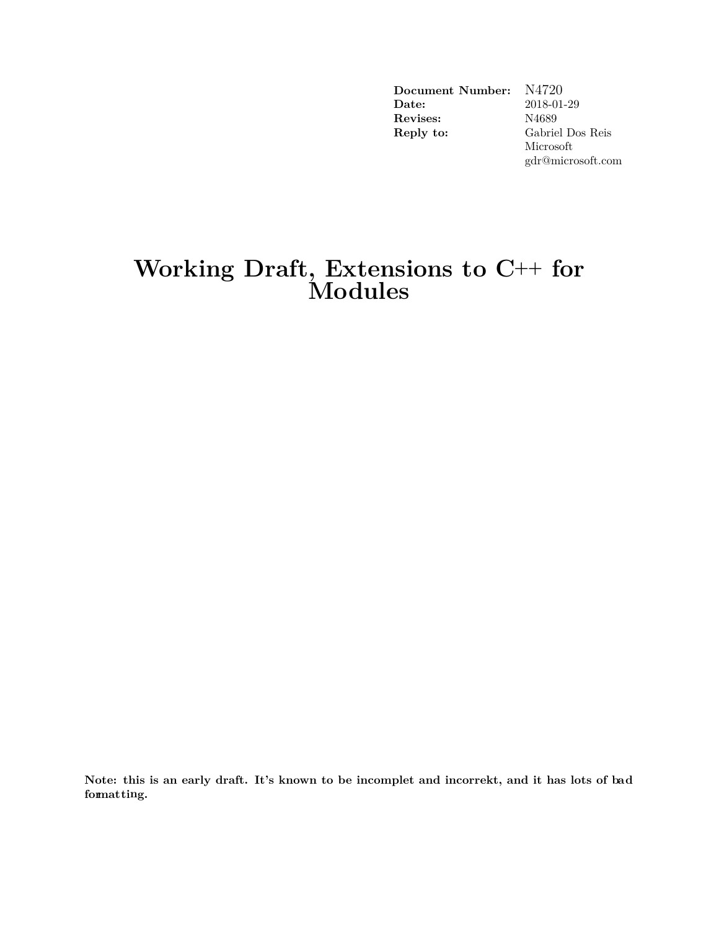**Document Number:** N4720<br>**Date:** 2018-01 **Date:** 2018-01-29 **Revises:** N4689 **Reply to:** Gabriel Dos Reis Microsoft gdr@microsoft.com

## **Working Draft, Extensions to C++ for Modules**

**Note: this is an early draft. It's known to be incomplet and incorrekt, and it has lots of bad formatting.**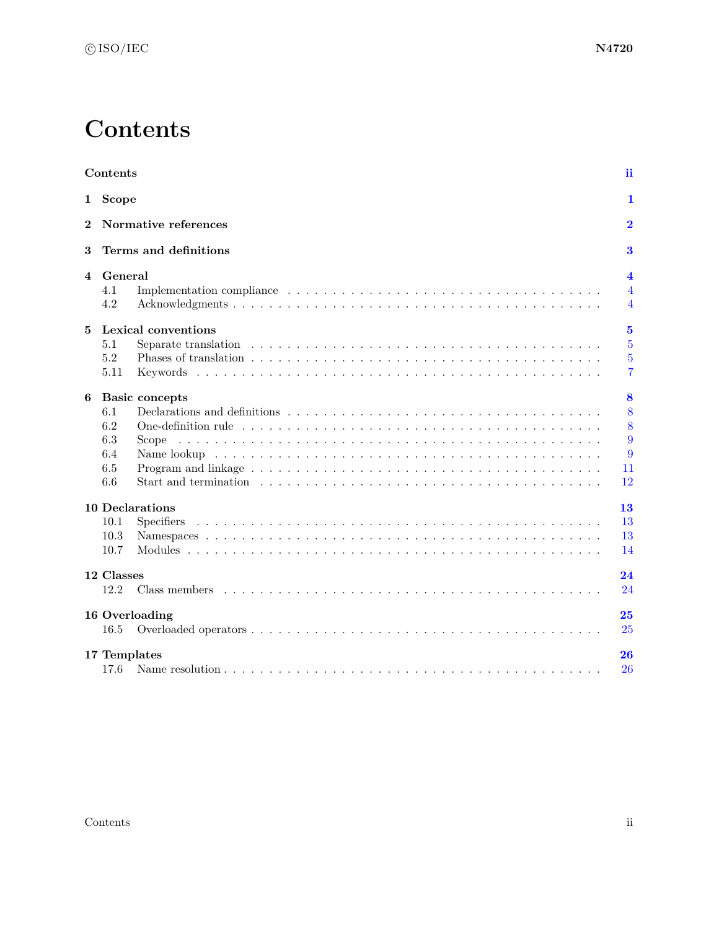## **Contents**

<span id="page-1-0"></span>

| Contents                  |                            |                                                                                                                    | ii                      |  |
|---------------------------|----------------------------|--------------------------------------------------------------------------------------------------------------------|-------------------------|--|
|                           | 1 Scope                    |                                                                                                                    | 1                       |  |
| Normative references<br>2 |                            |                                                                                                                    | $\overline{2}$          |  |
| 3                         |                            | Terms and definitions                                                                                              | 3                       |  |
| 4                         | General                    |                                                                                                                    | $\overline{\mathbf{4}}$ |  |
|                           | 4.1                        |                                                                                                                    | $\overline{4}$          |  |
|                           | 4.2                        |                                                                                                                    | $\overline{4}$          |  |
| 5                         | Lexical conventions        |                                                                                                                    |                         |  |
|                           | 5.1                        |                                                                                                                    | $\overline{5}$          |  |
|                           | 5.2                        |                                                                                                                    | $\overline{5}$          |  |
|                           | 5.11                       |                                                                                                                    | $\overline{7}$          |  |
| 6                         | 8<br><b>Basic concepts</b> |                                                                                                                    |                         |  |
|                           | 6.1                        |                                                                                                                    | 8                       |  |
|                           | 6.2                        |                                                                                                                    | 8                       |  |
|                           | 6.3                        |                                                                                                                    | 9                       |  |
|                           | 6.4                        |                                                                                                                    | 9                       |  |
|                           | 6.5                        |                                                                                                                    | 11                      |  |
|                           | 6.6                        | Start and termination $\ldots \ldots \ldots \ldots \ldots \ldots \ldots \ldots \ldots \ldots \ldots \ldots \ldots$ | 12                      |  |
|                           |                            | <b>10 Declarations</b>                                                                                             | 13                      |  |
|                           | 10.1                       | <b>Specifiers</b>                                                                                                  | 13                      |  |
|                           | 10.3                       |                                                                                                                    | 13                      |  |
|                           | 10.7                       |                                                                                                                    | 14                      |  |
|                           | 12 Classes                 |                                                                                                                    | 24                      |  |
|                           | 12.2                       | Class members                                                                                                      | 24                      |  |
|                           |                            | 16 Overloading                                                                                                     | 25                      |  |
|                           | 16.5                       |                                                                                                                    | 25                      |  |
|                           | 17 Templates               |                                                                                                                    | 26                      |  |
|                           | 17.6                       |                                                                                                                    | 26                      |  |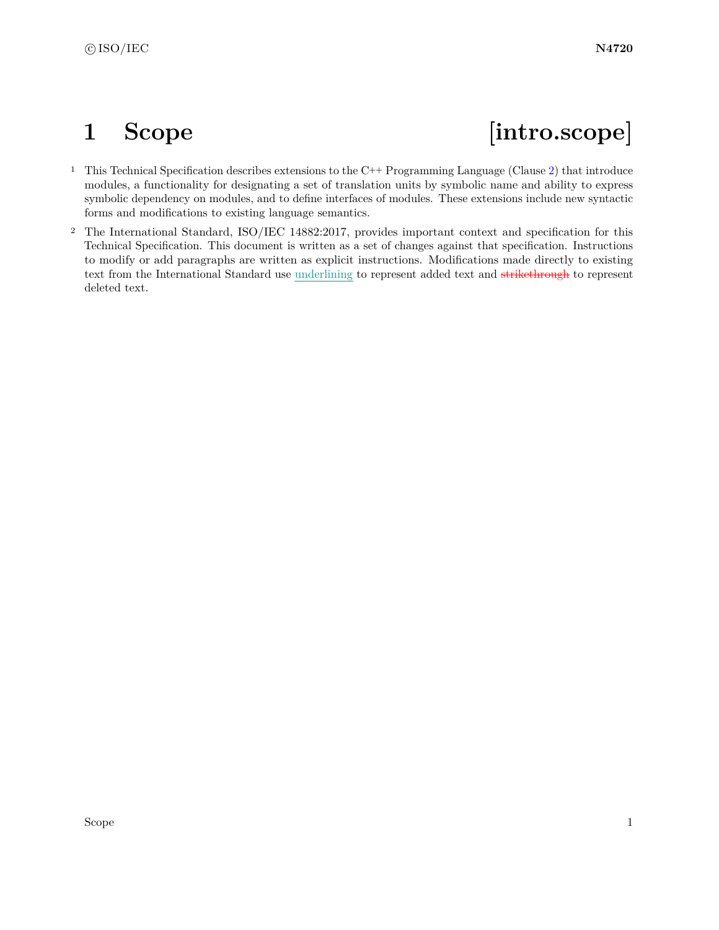# <span id="page-2-0"></span>1 Scope **[intro.scope]**

- <sup>1</sup> This Technical Specification describes extensions to the C++ Programming Language (Clause [2\)](#page-3-0) that introduce modules, a functionality for designating a set of translation units by symbolic name and ability to express symbolic dependency on modules, and to define interfaces of modules. These extensions include new syntactic forms and modifications to existing language semantics.
- <sup>2</sup> The International Standard, ISO/IEC 14882:2017, provides important context and specification for this Technical Specification. This document is written as a set of changes against that specification. Instructions to modify or add paragraphs are written as explicit instructions. Modifications made directly to existing text from the International Standard use underlining to represent added text and strikethrough to represent deleted text.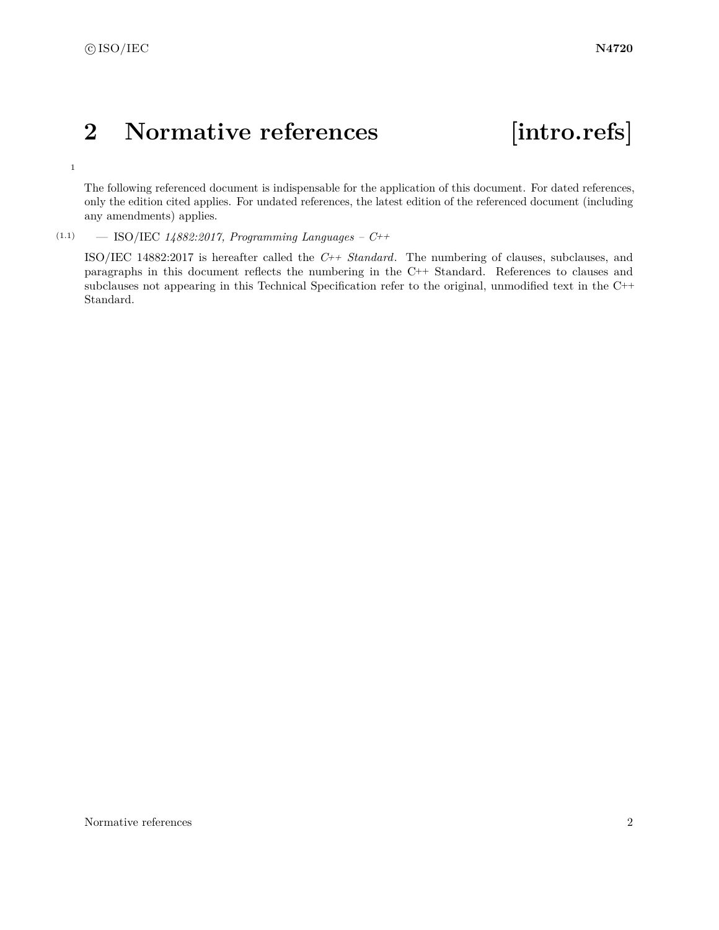c ISO/IEC **N4720**

## <span id="page-3-0"></span>**2 Normative references [intro.refs]**

1

The following referenced document is indispensable for the application of this document. For dated references, only the edition cited applies. For undated references, the latest edition of the referenced document (including any amendments) applies.

(1.1) — ISO/IEC *14882:2017, Programming Languages – C++*

ISO/IEC 14882:2017 is hereafter called the *C++ Standard*. The numbering of clauses, subclauses, and paragraphs in this document reflects the numbering in the C++ Standard. References to clauses and subclauses not appearing in this Technical Specification refer to the original, unmodified text in the C++ Standard.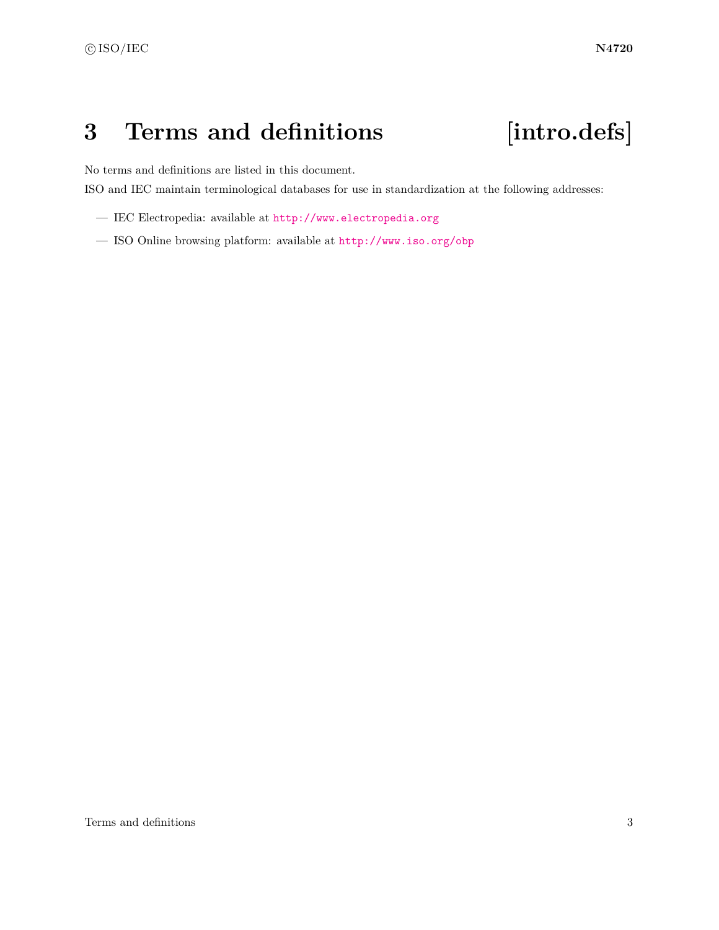# <span id="page-4-0"></span>**3 Terms and definitions [intro.defs]**

No terms and definitions are listed in this document.

ISO and IEC maintain terminological databases for use in standardization at the following addresses:

- IEC Electropedia: available at <http://www.electropedia.org>
- ISO Online browsing platform: available at <http://www.iso.org/obp>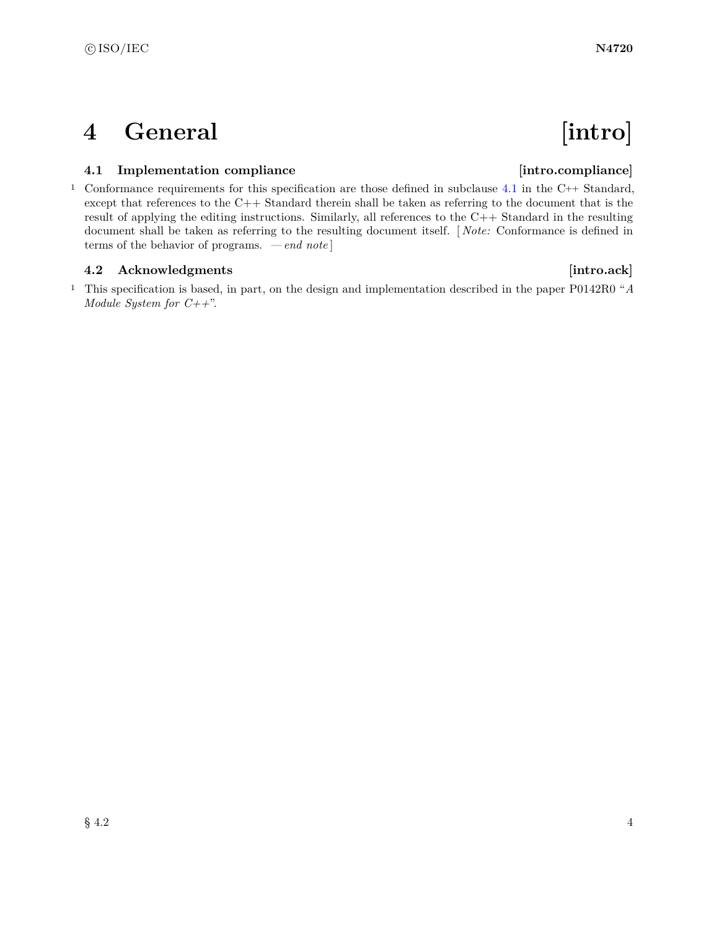# <span id="page-5-0"></span>**4 General** [intro]

### <span id="page-5-1"></span>**4.1 Implementation compliance [intro.compliance]**

<sup>1</sup> Conformance requirements for this specification are those defined in subclause [4.1](#page-5-1) in the C++ Standard, except that references to the C++ Standard therein shall be taken as referring to the document that is the result of applying the editing instructions. Similarly, all references to the  $C++$  Standard in the resulting document shall be taken as referring to the resulting document itself. [ *Note:* Conformance is defined in terms of the behavior of programs. *— end note* ]

### <span id="page-5-2"></span>**4.2 Acknowledgments [intro.ack]**

<sup>1</sup> This specification is based, in part, on the design and implementation described in the paper P0142R0 "*A Module System for C++*".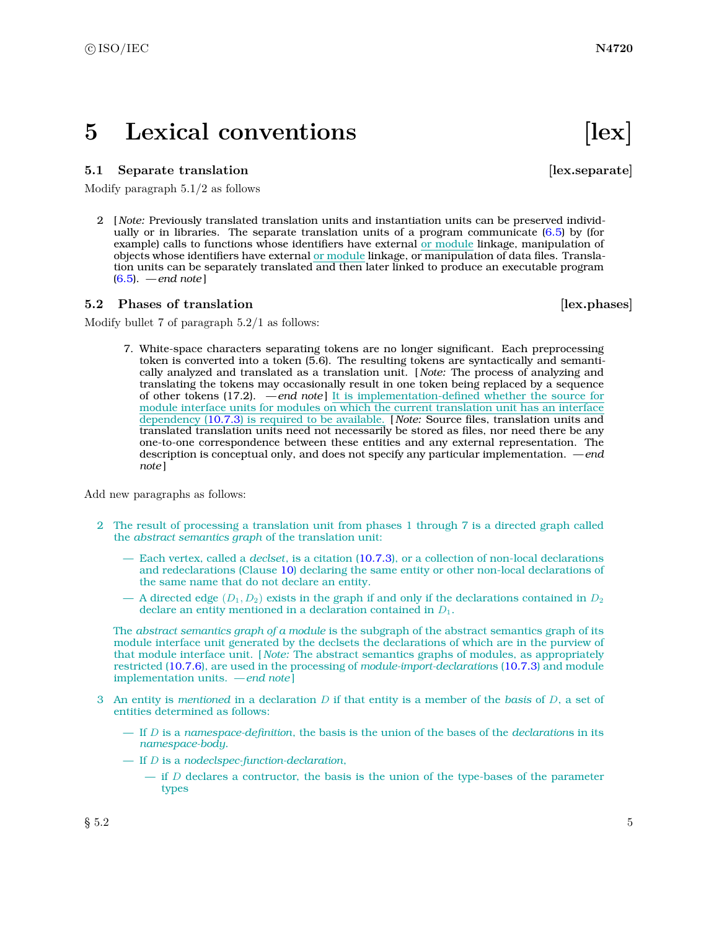## <span id="page-6-0"></span>**5** Lexical conventions [lex]

#### <span id="page-6-1"></span>**5.1** Separate translation *lex.separate*

Modify paragraph 5.1/2 as follows

2 [ *Note:* Previously translated translation units and instantiation units can be preserved individually or in libraries. The separate translation units of a program communicate  $(6.5)$  by (for example) calls to functions whose identifiers have external or module linkage, manipulation of objects whose identifiers have external or module linkage, or manipulation of data files. Translation units can be separately translated and then later linked to produce an executable program [\(6.5\)](#page-12-0). *— end note* ]

#### <span id="page-6-2"></span>**5.2 Phases of translation** [lex.phases]

Modify bullet 7 of paragraph 5.2/1 as follows:

7. White-space characters separating tokens are no longer significant. Each preprocessing token is converted into a token (5.6). The resulting tokens are syntactically and semantically analyzed and translated as a translation unit. [ *Note:* The process of analyzing and translating the tokens may occasionally result in one token being replaced by a sequence of other tokens (17.2). *— end note* ] It is implementation-defined whether the source for module interface units for modules on which the current translation unit has an interface dependency [\(10.7.3\)](#page-19-0) is required to be available. [ *Note:* Source files, translation units and translated translation units need not necessarily be stored as files, nor need there be any one-to-one correspondence between these entities and any external representation. The description is conceptual only, and does not specify any particular implementation. *— end note* ]

Add new paragraphs as follows:

- 2 The result of processing a translation unit from phases 1 through 7 is a directed graph called the *abstract semantics graph* of the translation unit:
	- Each vertex, called a *declset*, is a citation [\(10.7.3\)](#page-19-0), or a collection of non-local declarations and redeclarations (Clause [10\)](#page-14-0) declaring the same entity or other non-local declarations of the same name that do not declare an entity.
	- A directed edge  $(D_1, D_2)$  exists in the graph if and only if the declarations contained in  $D_2$ declare an entity mentioned in a declaration contained in *D*1.

The *abstract semantics graph of a module* is the subgraph of the abstract semantics graph of its module interface unit generated by the declsets the declarations of which are in the purview of that module interface unit. [ *Note:* The abstract semantics graphs of modules, as appropriately restricted [\(10.7.6\)](#page-21-0), are used in the processing of *module-import-declaration*s [\(10.7.3\)](#page-19-0) and module implementation units. *— end note* ]

- 3 An entity is *mentioned* in a declaration *D* if that entity is a member of the *basis* of *D*, a set of entities determined as follows:
	- If *D* is a *namespace-definition*, the basis is the union of the bases of the *declaration*s in its *namespace-body*.
	- If *D* is a *nodeclspec-function-declaration*,
		- if *D* declares a contructor, the basis is the union of the type-bases of the parameter types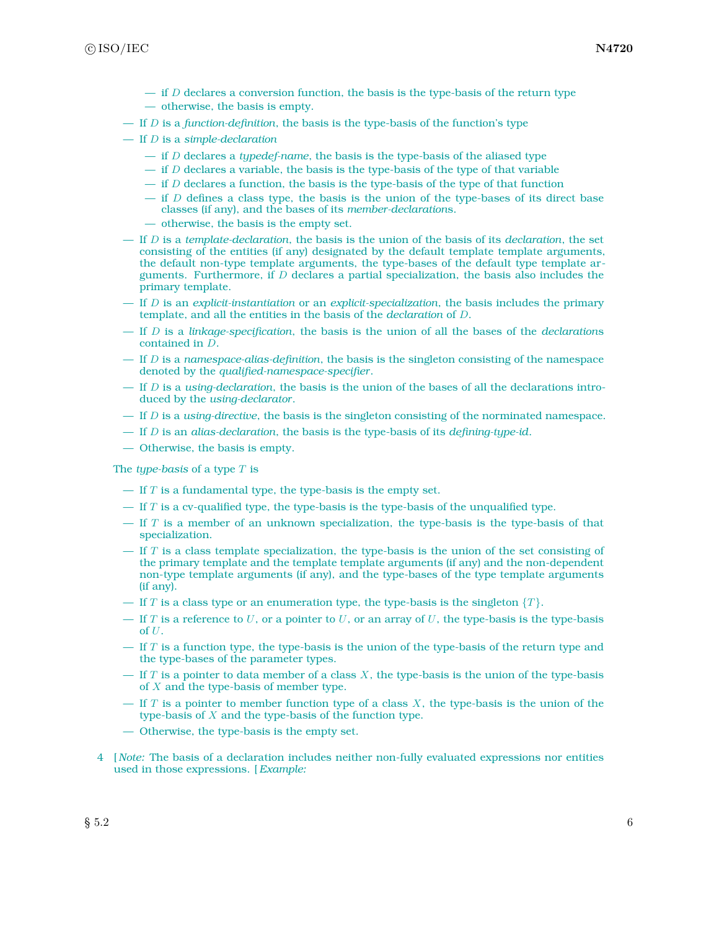- if *D* declares a conversion function, the basis is the type-basis of the return type
- otherwise, the basis is empty.
- If *D* is a *function-definition*, the basis is the type-basis of the function's type
- If *D* is a *simple-declaration*
	- if *D* declares a *typedef-name*, the basis is the type-basis of the aliased type
	- $-$  if *D* declares a variable, the basis is the type-basis of the type of that variable
	- if *D* declares a function, the basis is the type-basis of the type of that function
	- if *D* defines a class type, the basis is the union of the type-bases of its direct base classes (if any), and the bases of its *member-declaration*s.
	- otherwise, the basis is the empty set.
- If *D* is a *template-declaration*, the basis is the union of the basis of its *declaration*, the set consisting of the entities (if any) designated by the default template template arguments, the default non-type template arguments, the type-bases of the default type template arguments. Furthermore, if *D* declares a partial specialization, the basis also includes the primary template.
- If *D* is an *explicit-instantiation* or an *explicit-specialization*, the basis includes the primary template, and all the entities in the basis of the *declaration* of *D*.
- If *D* is a *linkage-specification*, the basis is the union of all the bases of the *declaration*s contained in *D*.
- If *D* is a *namespace-alias-definition*, the basis is the singleton consisting of the namespace denoted by the *qualified-namespace-specifier*.
- If *D* is a *using-declaration*, the basis is the union of the bases of all the declarations introduced by the *using-declarator*.
- If *D* is a *using-directive*, the basis is the singleton consisting of the norminated namespace.
- If *D* is an *alias-declaration*, the basis is the type-basis of its *defining-type-id*.
- Otherwise, the basis is empty.

The *type-basis* of a type *T* is

- If *T* is a fundamental type, the type-basis is the empty set.
- If *T* is a cv-qualified type, the type-basis is the type-basis of the unqualified type.
- If *T* is a member of an unknown specialization, the type-basis is the type-basis of that specialization.
- If *T* is a class template specialization, the type-basis is the union of the set consisting of the primary template and the template template arguments (if any) and the non-dependent non-type template arguments (if any), and the type-bases of the type template arguments (if any).
- If *T* is a class type or an enumeration type, the type-basis is the singleton  $\{T\}$ .
- If  $T$  is a reference to  $U$ , or a pointer to  $U$ , or an array of  $U$ , the type-basis is the type-basis of *U*.
- If *T* is a function type, the type-basis is the union of the type-basis of the return type and the type-bases of the parameter types.
- If *T* is a pointer to data member of a class *X*, the type-basis is the union of the type-basis of *X* and the type-basis of member type.
- If *T* is a pointer to member function type of a class *X*, the type-basis is the union of the type-basis of *X* and the type-basis of the function type.
- Otherwise, the type-basis is the empty set.
- 4 [ *Note:* The basis of a declaration includes neither non-fully evaluated expressions nor entities used in those expressions. [*Example:*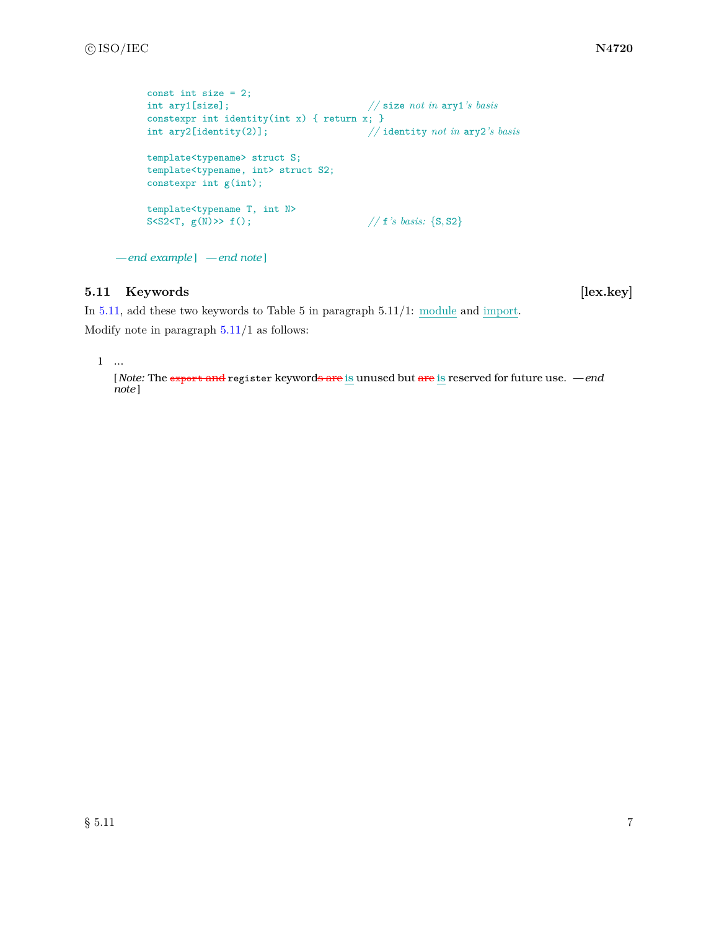```
const int size = 2;<br>int ary1[size];
                                          int ary1[size]; // size not in ary1's basis
constexpr int identity(int x) { return x; }
int ary2[identity(2)]; // identity not in ary2's basis
template<typename> struct S;
template<typename, int> struct S2;
constexpr int g(int);
template<typename T, int N>
S<S2<T, g(N)>> f(); // f<sup>'s</sup> basis: {S, S2}
```

```
— end example ] — end note ]
```
### <span id="page-8-0"></span>**5.11 Keywords [lex.key]**

In [5.11,](#page-8-0) add these two keywords to Table 5 in paragraph 5.11/1: module and import.

Modify note in paragraph [5.11/](#page-8-0)1 as follows:

1 ...

[ *Note:* The export and register keywords are is unused but are is reserved for future use. *— end note* ]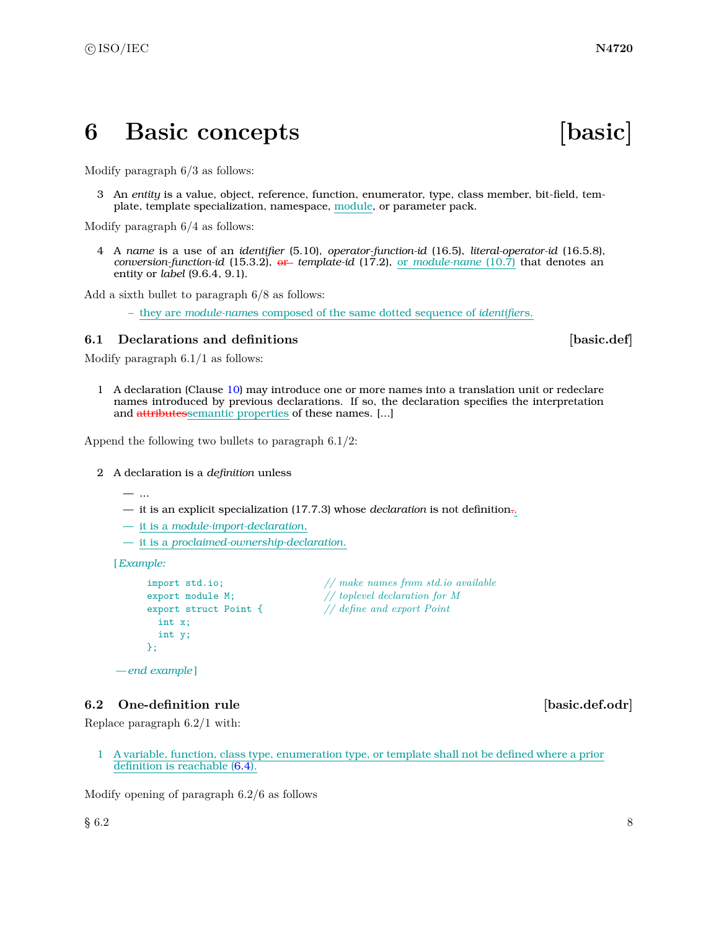## <span id="page-9-0"></span>**6 Basic concepts [basic]**

Modify paragraph 6/3 as follows:

3 An *entity* is a value, object, reference, function, enumerator, type, class member, bit-field, template, template specialization, namespace, module, or parameter pack.

Modify paragraph 6/4 as follows:

4 A *name* is a use of an *identifier* (5.10), *operator-function-id* (16.5), *literal-operator-id* (16.5.8), *conversion-function-id* (15.3.2), or *template-id* (17.2), or *module-name* (10.7) that denotes an entity or *label* (9.6.4, 9.1).

Add a sixth bullet to paragraph 6/8 as follows:

– they are *module-name*s composed of the same dotted sequence of *identifier*s.

#### <span id="page-9-1"></span>**6.1 Declarations and definitions <b>basic.def basic.def**

Modify paragraph 6.1/1 as follows:

1 A declaration (Clause [10\)](#page-14-0) may introduce one or more names into a translation unit or redeclare names introduced by previous declarations. If so, the declaration specifies the interpretation and attributessemantic properties of these names. [...]

Append the following two bullets to paragraph 6.1/2:

- 2 A declaration is a *definition* unless
	- ...
	- it is an explicit specialization (17.7.3) whose *declaration* is not definition.,
	- it is a *module-import-declaration*,
	- it is a *proclaimed-ownership-declaration*.

[*Example:*

```
int x;
        int y;
      };
— end example ]
```
import std.io; *// make names from std.io available* export module M; *// toplevel declaration for M* export struct Point { *// define and export Point*

### <span id="page-9-2"></span>**6.2** One-definition rule **and in the set of the set of the set of the set of the set of the set of the set of the set of the set of the set of the set of the set of the set of the set of the set of the set of the set of t**

Replace paragraph 6.2/1 with:

1 A variable, function, class type, enumeration type, or template shall not be defined where a prior definition is reachable [\(6.4\)](#page-10-1).

Modify opening of paragraph 6.2/6 as follows

 $\S~6.2$  8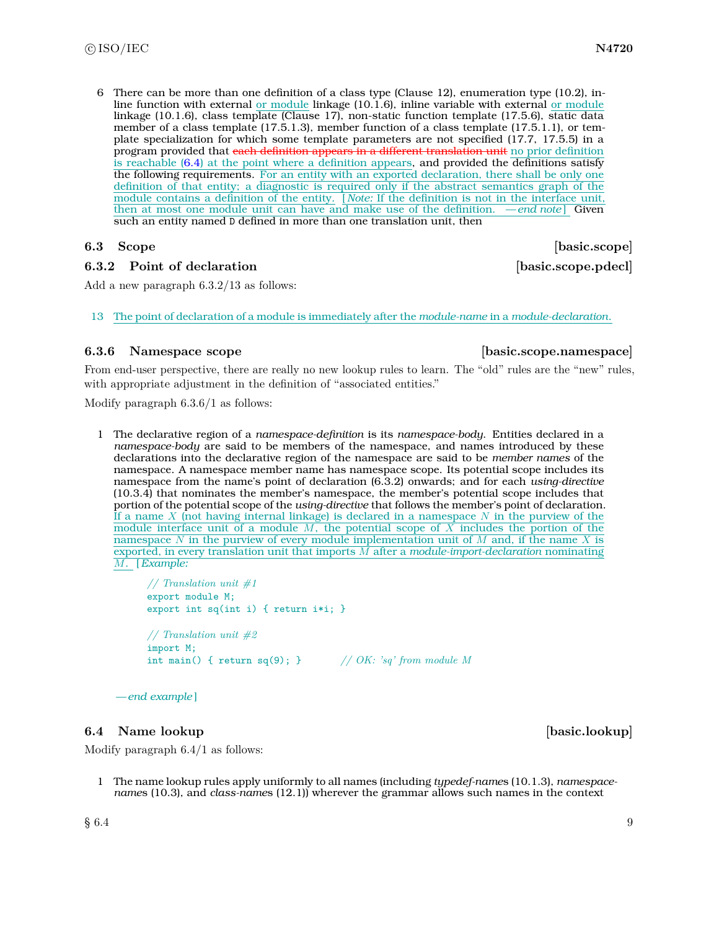6 There can be more than one definition of a class type (Clause 12), enumeration type (10.2), inline function with external or module linkage (10.1.6), inline variable with external or module linkage (10.1.6), class template (Clause 17), non-static function template (17.5.6), static data member of a class template (17.5.1.3), member function of a class template (17.5.1.1), or template specialization for which some template parameters are not specified (17.7, 17.5.5) in a program provided that each definition appears in a different translation unit no prior definition is reachable [\(6.4\)](#page-10-1) at the point where a definition appears, and provided the definitions satisfy the following requirements. For an entity with an exported declaration, there shall be only one definition of that entity; a diagnostic is required only if the abstract semantics graph of the module contains a definition of the entity. [ *Note:* If the definition is not in the interface unit, then at most one module unit can have and make use of the definition. *— end note* ] Given such an entity named D defined in more than one translation unit, then

### **6.3.2** Point of declaration **b basic.scope.pdecl**

<span id="page-10-0"></span>**6.3 Scope [basic.scope]** 

Add a new paragraph 6.3.2/13 as follows:

13 The point of declaration of a module is immediately after the *module-name* in a *module-declaration*.

#### **6.3.6 Namespace scope [basic.scope.namespace]**

From end-user perspective, there are really no new lookup rules to learn. The "old" rules are the "new" rules, with appropriate adjustment in the definition of "associated entities."

Modify paragraph 6.3.6/1 as follows:

1 The declarative region of a *namespace-definition* is its *namespace-body*. Entities declared in a *namespace-body* are said to be members of the namespace, and names introduced by these declarations into the declarative region of the namespace are said to be *member names* of the namespace. A namespace member name has namespace scope. Its potential scope includes its namespace from the name's point of declaration (6.3.2) onwards; and for each *using-directive* (10.3.4) that nominates the member's namespace, the member's potential scope includes that portion of the potential scope of the *using-directive* that follows the member's point of declaration. If a name *X* (not having internal linkage) is declared in a namespace *N* in the purview of the module interface unit of a module *M*, the potential scope of *X* includes the portion of the namespace *N* in the purview of every module implementation unit of *M* and, if the name *X* is exported, in every translation unit that imports *M* after a *module-import-declaration* nominating *M*. [*Example:*

```
// Translation unit #1
export module M;
export int sq(int i) { return i*i; }
// Translation unit #2
import M;
```
int main() { return sq(9); } *// OK: 'sq' from module M*

```
— end example ]
```
### <span id="page-10-1"></span>**6.4** Name lookup **basic.lookup**

Modify paragraph 6.4/1 as follows:

1 The name lookup rules apply uniformly to all names (including *typedef-name*s (10.1.3), *namespacename*s (10.3), and *class-name*s (12.1)) wherever the grammar allows such names in the context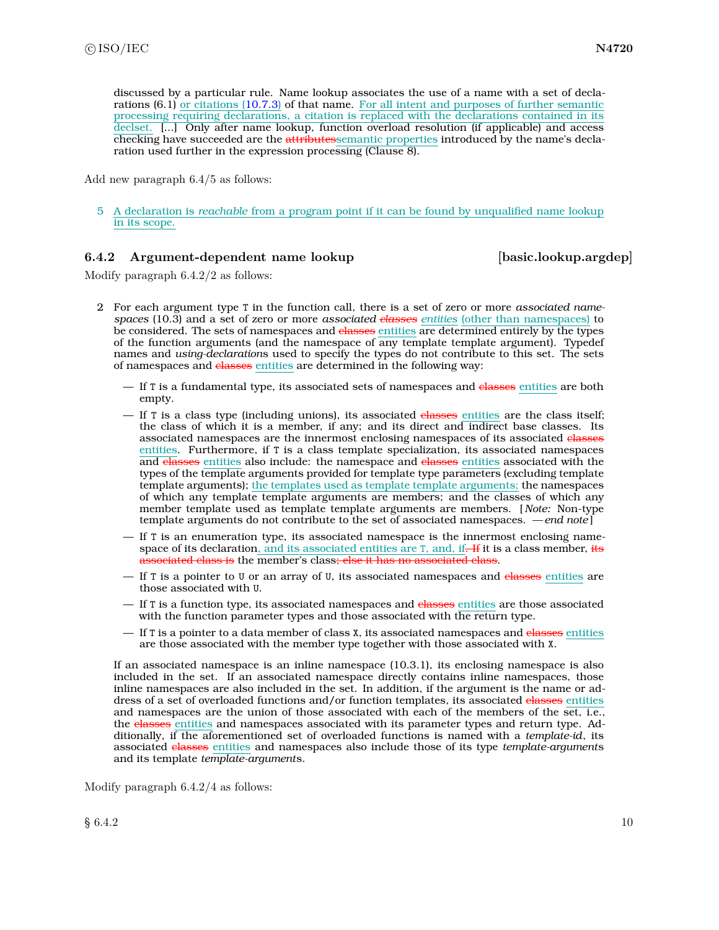discussed by a particular rule. Name lookup associates the use of a name with a set of declarations (6.1) or citations [\(10.7.3\)](#page-19-0) of that name. For all intent and purposes of further semantic processing requiring declarations, a citation is replaced with the declarations contained in its declset. [...] Only after name lookup, function overload resolution (if applicable) and access checking have succeeded are the attributessemantic properties introduced by the name's declaration used further in the expression processing (Clause 8).

Add new paragraph 6.4/5 as follows:

5 A declaration is *reachable* from a program point if it can be found by unqualified name lookup in its scope.

#### **6.4.2** Argument-dependent name lookup [basic.lookup.argdep]

Modify paragraph 6.4.2/2 as follows:

- 2 For each argument type T in the function call, there is a set of zero or more *associated namespaces* (10.3) and a set of zero or more *associated classes entities* (other than namespaces) to be considered. The sets of namespaces and classes entities are determined entirely by the types of the function arguments (and the namespace of any template template argument). Typedef names and *using-declaration*s used to specify the types do not contribute to this set. The sets of namespaces and classes entities are determined in the following way:
	- If T is a fundamental type, its associated sets of namespaces and classes entities are both empty.
	- $-$  If T is a class type (including unions), its associated classes entities are the class itself; the class of which it is a member, if any; and its direct and indirect base classes. Its associated namespaces are the innermost enclosing namespaces of its associated classes entities. Furthermore, if T is a class template specialization, its associated namespaces and classes entities also include: the namespace and classes entities associated with the types of the template arguments provided for template type parameters (excluding template template arguments); the templates used as template template arguments; the namespaces of which any template template arguments are members; and the classes of which any member template used as template template arguments are members. [ *Note:* Non-type template arguments do not contribute to the set of associated namespaces. *— end note* ]
	- If T is an enumeration type, its associated namespace is the innermost enclosing namespace of its declaration, and its associated entities are T, and, if. If it is a class member, its beiated class is the member's class<del>; else it has no associated class</del>.
	- If T is a pointer to U or an array of U, its associated namespaces and classes entities are those associated with U.
	- If T is a function type, its associated namespaces and classes entities are those associated with the function parameter types and those associated with the return type.
	- If T is a pointer to a data member of class X, its associated namespaces and classes entities are those associated with the member type together with those associated with X.

If an associated namespace is an inline namespace (10.3.1), its enclosing namespace is also included in the set. If an associated namespace directly contains inline namespaces, those inline namespaces are also included in the set. In addition, if the argument is the name or address of a set of overloaded functions and/or function templates, its associated elasses entities and namespaces are the union of those associated with each of the members of the set, i.e., the classes entities and namespaces associated with its parameter types and return type. Additionally, if the aforementioned set of overloaded functions is named with a *template-id*, its associated classes entities and namespaces also include those of its type *template-argument*s and its template *template-argument*s.

Modify paragraph 6.4.2/4 as follows: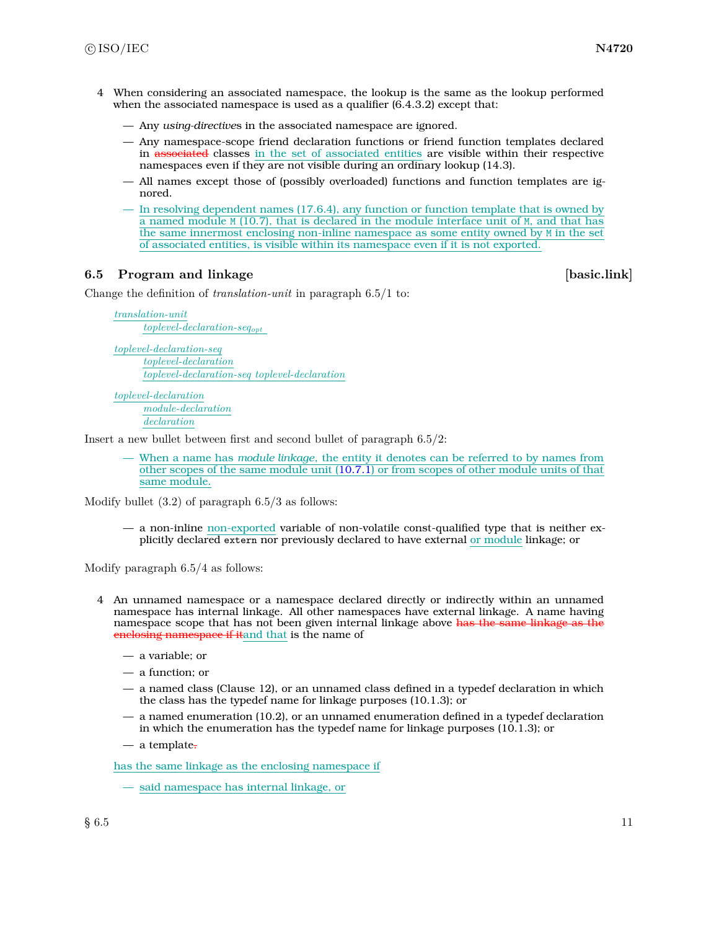- 4 When considering an associated namespace, the lookup is the same as the lookup performed when the associated namespace is used as a qualifier  $(6.4.3.2)$  except that:
	- Any *using-directive*s in the associated namespace are ignored.
	- Any namespace-scope friend declaration functions or friend function templates declared in associated classes in the set of associated entities are visible within their respective namespaces even if they are not visible during an ordinary lookup (14.3).
	- All names except those of (possibly overloaded) functions and function templates are ignored.
	- In resolving dependent names (17.6.4), any function or function template that is owned by a named module M (10.7), that is declared in the module interface unit of M, and that has the same innermost enclosing non-inline namespace as some entity owned by M in the set of associated entities, is visible within its namespace even if it is not exported.

### <span id="page-12-0"></span>**6.5 Program and linkage in the set of the set of the set of the set of the set of the set of the set of the set of the set of the set of the set of the set of the set of the set of the set of the set of the set of the set**

Change the definition of *translation-unit* in paragraph 6.5/1 to:

*translation-unit toplevel-declaration-seqopt*

*toplevel-declaration-seq toplevel-declaration toplevel-declaration-seq toplevel-declaration*

*toplevel-declaration module-declaration declaration*

Insert a new bullet between first and second bullet of paragraph 6.5/2:

— When a name has *module linkage*, the entity it denotes can be referred to by names from other scopes of the same module unit [\(10.7.1\)](#page-15-1) or from scopes of other module units of that same module.

Modify bullet  $(3.2)$  of paragraph  $6.5/3$  as follows:

— a non-inline non-exported variable of non-volatile const-qualified type that is neither explicitly declared extern nor previously declared to have external or module linkage; or

Modify paragraph 6.5/4 as follows:

- 4 An unnamed namespace or a namespace declared directly or indirectly within an unnamed namespace has internal linkage. All other namespaces have external linkage. A name having namespace scope that has not been given internal linkage above has the same linkage as the enclosing namespace if itand that is the name of
	- a variable; or
	- a function; or
	- a named class (Clause 12), or an unnamed class defined in a typedef declaration in which the class has the typedef name for linkage purposes (10.1.3); or
	- a named enumeration (10.2), or an unnamed enumeration defined in a typedef declaration in which the enumeration has the typedef name for linkage purposes (10.1.3); or
	- a template.

has the same linkage as the enclosing namespace if

— said namespace has internal linkage, or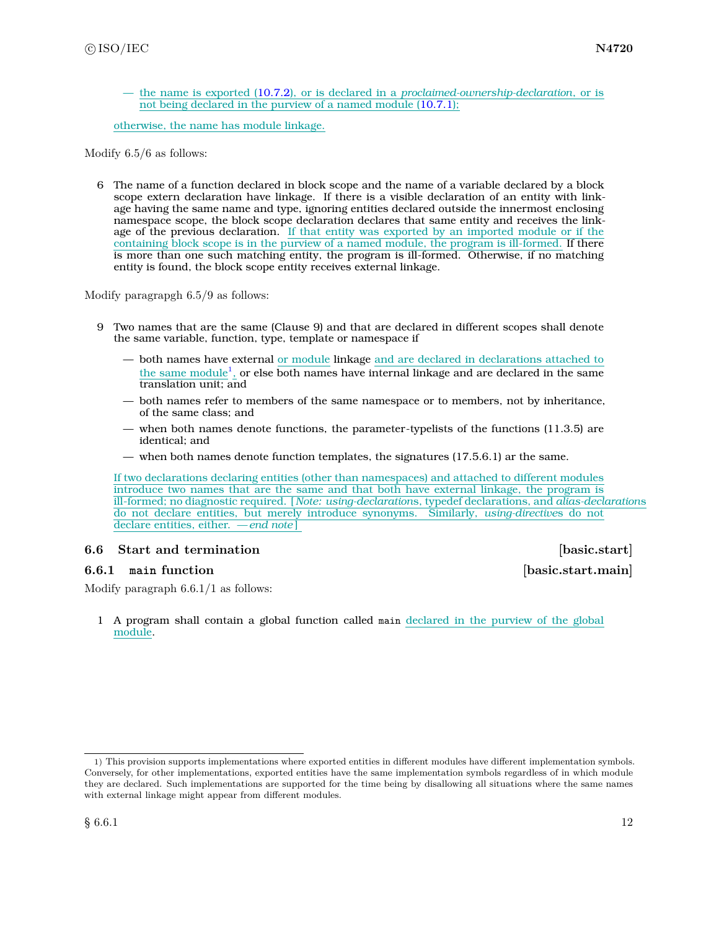— the name is exported [\(10.7.2\)](#page-16-0), or is declared in a *proclaimed-ownership-declaration*, or is not being declared in the purview of a named module [\(10.7.1\)](#page-15-1);

otherwise, the name has module linkage.

Modify 6.5/6 as follows:

6 The name of a function declared in block scope and the name of a variable declared by a block scope extern declaration have linkage. If there is a visible declaration of an entity with linkage having the same name and type, ignoring entities declared outside the innermost enclosing namespace scope, the block scope declaration declares that same entity and receives the linkage of the previous declaration. If that entity was exported by an imported module or if the containing block scope is in the purview of a named module, the program is ill-formed. If there is more than one such matching entity, the program is ill-formed. Otherwise, if no matching entity is found, the block scope entity receives external linkage.

Modify paragrapgh 6.5/9 as follows:

- 9 Two names that are the same (Clause 9) and that are declared in different scopes shall denote the same variable, function, type, template or namespace if
	- both names have external or module linkage and are declared in declarations attached to the same module<sup>[1](#page-13-1)</sup>, or else both names have internal linkage and are declared in the same translation unit; and
	- both names refer to members of the same namespace or to members, not by inheritance, of the same class; and
	- when both names denote functions, the parameter-typelists of the functions (11.3.5) are identical; and
	- when both names denote function templates, the signatures (17.5.6.1) ar the same.

If two declarations declaring entities (other than namespaces) and attached to different modules introduce two names that are the same and that both have external linkage, the program is ill-formed; no diagnostic required. [ *Note: using-declaration*s, typedef declarations, and *alias-declaration*s do not declare entities, but merely introduce synonyms. Similarly, *using-directive*s do not declare entities, either. *— end note* ]

#### <span id="page-13-0"></span>**6.6 Start and termination is a set of the set of the set of the set of the set of the set of the set of the set of the set of the set of the set of the set of the set of the set of the set of the set of the set of the set**

#### **6.6.1 main function [basic.start.main]**

Modify paragraph 6.6.1/1 as follows:

1 A program shall contain a global function called main declared in the purview of the global module.

<span id="page-13-1"></span><sup>1)</sup> This provision supports implementations where exported entities in different modules have different implementation symbols. Conversely, for other implementations, exported entities have the same implementation symbols regardless of in which module they are declared. Such implementations are supported for the time being by disallowing all situations where the same names with external linkage might appear from different modules.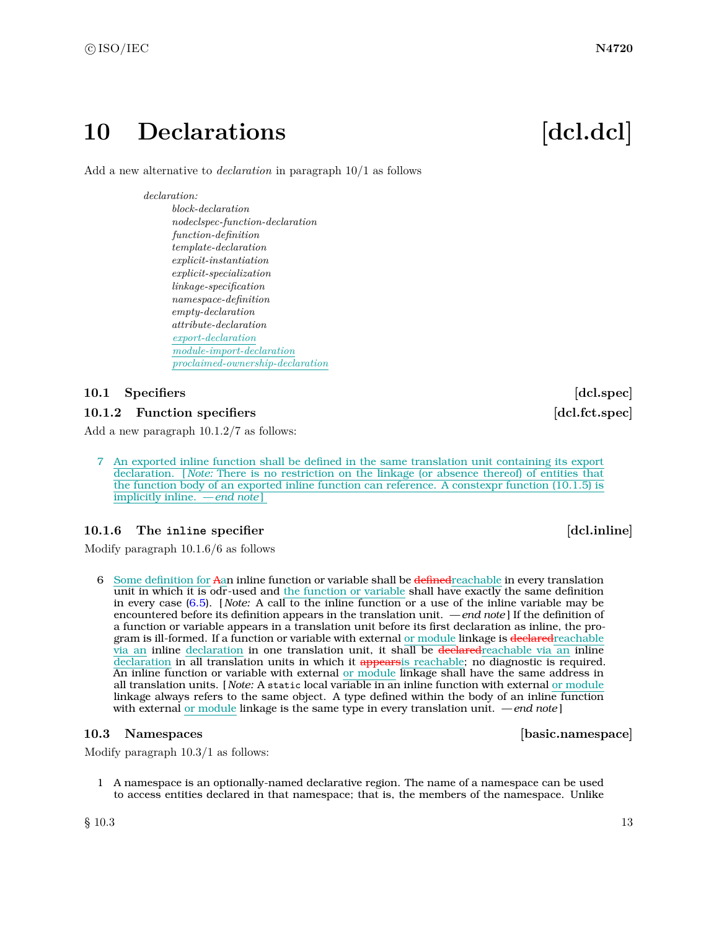## <span id="page-14-0"></span>10 Declarations **[dcl.dcl]**

Add a new alternative to *declaration* in paragraph 10/1 as follows

#### *declaration:*

*block-declaration nodeclspec-function-declaration function-definition template-declaration explicit-instantiation explicit-specialization linkage-specification namespace-definition empty-declaration attribute-declaration export-declaration module-import-declaration proclaimed-ownership-declaration*

### <span id="page-14-1"></span>**10.1 Specifiers** [dcl.spec]

### <span id="page-14-3"></span>**10.1.2 Function specifiers and a set of the set of the set of the set of the set of the set of the set of the set of the set of the set of the set of the set of the set of the set of the set of the set of the set of the**

Add a new paragraph 10.1.2/7 as follows:

7 An exported inline function shall be defined in the same translation unit containing its export declaration. [ *Note:* There is no restriction on the linkage (or absence thereof) of entities that the function body of an exported inline function can reference. A constexpr function (10.1.5) is implicitly inline. *— end note* ]

### **10.1.6** The **inline** specifier **and the specifier in the specifier** *dcl.inline*

Modify paragraph 10.1.6/6 as follows

6 Some definition for Aan inline function or variable shall be defined reachable in every translation unit in which it is odr-used and the function or variable shall have exactly the same definition in every case [\(6.5\)](#page-12-0). [ *Note:* A call to the inline function or a use of the inline variable may be encountered before its definition appears in the translation unit. *— end note* ] If the definition of a function or variable appears in a translation unit before its first declaration as inline, the program is ill-formed. If a function or variable with external or module linkage is declared reachable via an inline declaration in one translation unit, it shall be declaredreachable via an inline declaration in all translation units in which it appearsis reachable; no diagnostic is required. An inline function or variable with external or module linkage shall have the same address in all translation units. [ *Note:* A static local variable in an inline function with external or module linkage always refers to the same object. A type defined within the body of an inline function with external or module linkage is the same type in every translation unit. *— end note* ]

#### <span id="page-14-2"></span>**10.3 Namespaces [basic.namespace]**

Modify paragraph 10.3/1 as follows:

1 A namespace is an optionally-named declarative region. The name of a namespace can be used to access entities declared in that namespace; that is, the members of the namespace. Unlike

 $\S$  10.3 13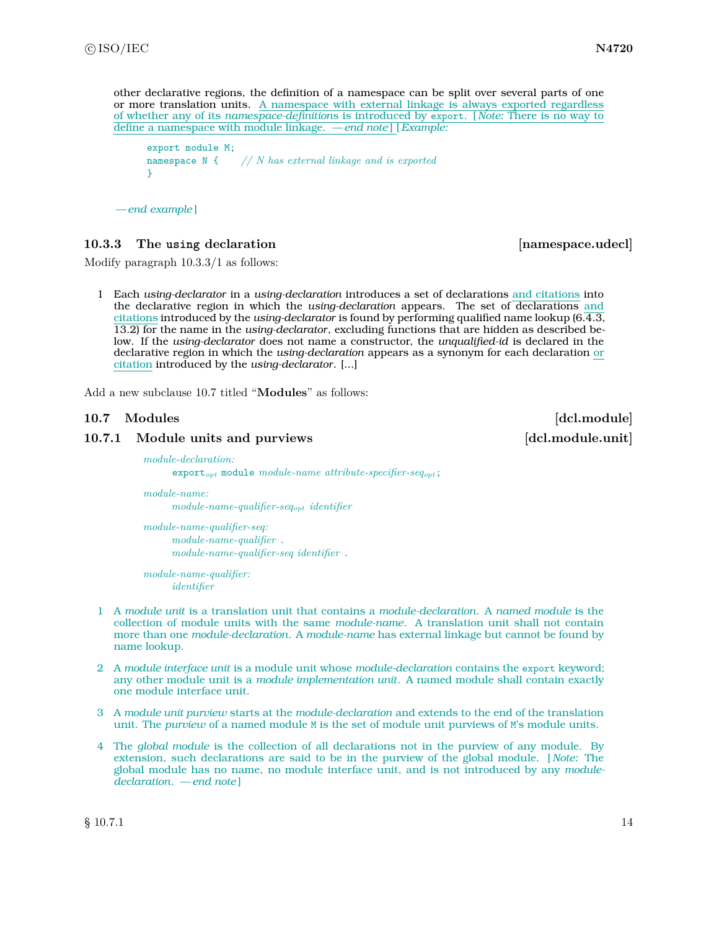```
other declarative regions, the definition of a namespace can be split over several parts of one
or more translation units. A namespace with external linkage is always exported regardless
of whether any of its namespace-definitions is introduced by export. [ Note: There is no way to
define a namespace with module linkage. — end note ] [Example:
      export module M;
      namespace N { // N has external linkage and is exported
      }
```

```
— end example ]
```
### <span id="page-15-2"></span>**10.3.3 The using declaration [namespace.udecl]**

Modify paragraph 10.3.3/1 as follows:

1 Each *using-declarator* in a *using-declaration* introduces a set of declarations and citations into the declarative region in which the *using-declaration* appears. The set of declarations and citations introduced by the *using-declarator* is found by performing qualified name lookup (6.4.3, 13.2) for the name in the *using-declarator*, excluding functions that are hidden as described below. If the *using-declarator* does not name a constructor, the *unqualified-id* is declared in the declarative region in which the *using-declaration* appears as a synonym for each declaration or citation introduced by the *using-declarator*. [...]

Add a new subclause 10.7 titled "**Modules**" as follows:

### <span id="page-15-0"></span>**10.7 Modules [dcl.module]**

#### <span id="page-15-1"></span>**10.7.1 Module units and purviews [dcl.module.unit]**

*module-declaration:*

export*opt* module *module-name attribute-specifier-seqopt*;

*module-name: module-name-qualifier-seqopt identifier*

*module-name-qualifier-seq: module-name-qualifier* . *module-name-qualifier-seq identifier* .

*module-name-qualifier: identifier*

- 1 A *module unit* is a translation unit that contains a *module-declaration*. A *named module* is the collection of module units with the same *module-name*. A translation unit shall not contain more than one *module-declaration*. A *module-name* has external linkage but cannot be found by name lookup.
- 2 A *module interface unit* is a module unit whose *module-declaration* contains the export keyword; any other module unit is a *module implementation unit*. A named module shall contain exactly one module interface unit.
- 3 A *module unit purview* starts at the *module-declaration* and extends to the end of the translation unit. The *purview* of a named module M is the set of module unit purviews of M's module units.
- 4 The *global module* is the collection of all declarations not in the purview of any module. By extension, such declarations are said to be in the purview of the global module. [ *Note:* The global module has no name, no module interface unit, and is not introduced by any *moduledeclaration*. *— end note* ]

 $\S$  10.7.1 14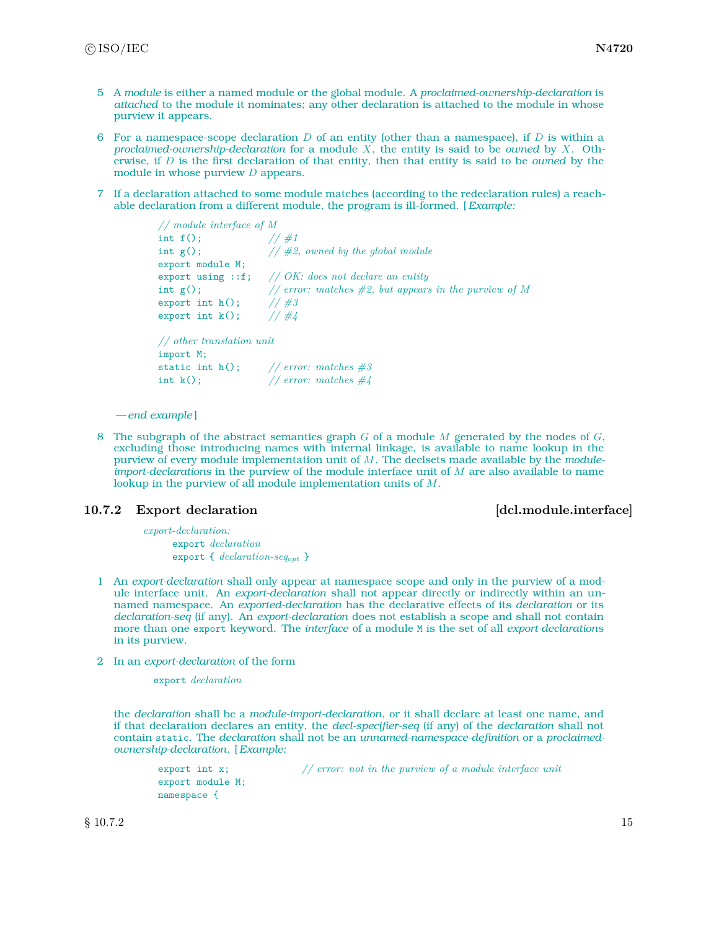- 5 A *module* is either a named module or the global module. A *proclaimed-ownership-declaration* is *attached* to the module it nominates; any other declaration is attached to the module in whose purview it appears.
- 6 For a namespace-scope declaration *D* of an entity (other than a namespace), if *D* is within a *proclaimed-ownership-declaration* for a module *X*, the entity is said to be *owned* by *X*. Otherwise, if *D* is the first declaration of that entity, then that entity is said to be *owned* by the module in whose purview *D* appears.
- 7 If a declaration attached to some module matches (according to the redeclaration rules) a reachable declaration from a different module, the program is ill-formed. [*Example:*

```
// module interface of M<br>int f(); // \#1int f();
int g(); // #2, owned by the global module
export module M;
export using ::f; // OK: does not declare an entity
int g(); <br> // error: matches #2, but appears in the purview of M<br>export int h(); <br> // #3
export int h();
export int k(); // #4
// other translation unit
```

```
import M;
static int h(); // error: matches #3
int k(); // error: matches #4
```
8 The subgraph of the abstract semantics graph *G* of a module *M* generated by the nodes of *G*, excluding those introducing names with internal linkage, is available to name lookup in the purview of every module implementation unit of *M*. The declsets made available by the *moduleimport-declaration*s in the purview of the module interface unit of *M* are also available to name lookup in the purview of all module implementation units of *M*.

#### <span id="page-16-0"></span>**10.7.2** Export declaration **and interface [dcl.module.interface]**

*export-declaration:* export *declaration* export { *declaration-seqopt* }

- 1 An *export-declaration* shall only appear at namespace scope and only in the purview of a module interface unit. An *export-declaration* shall not appear directly or indirectly within an unnamed namespace. An *exported-declaration* has the declarative effects of its *declaration* or its *declaration-seq* (if any). An *export-declaration* does not establish a scope and shall not contain more than one export keyword. The *interface* of a module M is the set of all *export-declaration*s in its purview.
- 2 In an *export-declaration* of the form

export *declaration*

the *declaration* shall be a *module-import-declaration*, or it shall declare at least one name, and if that declaration declares an entity, the *decl-specifier-seq* (if any) of the *declaration* shall not contain static. The *declaration* shall not be an *unnamed-namespace-definition* or a *proclaimedownership-declaration*. [*Example:*

```
export int x; // error: not in the purview of a module interface unit
export module M;
namespace {
```
 $\S 10.7.2$  15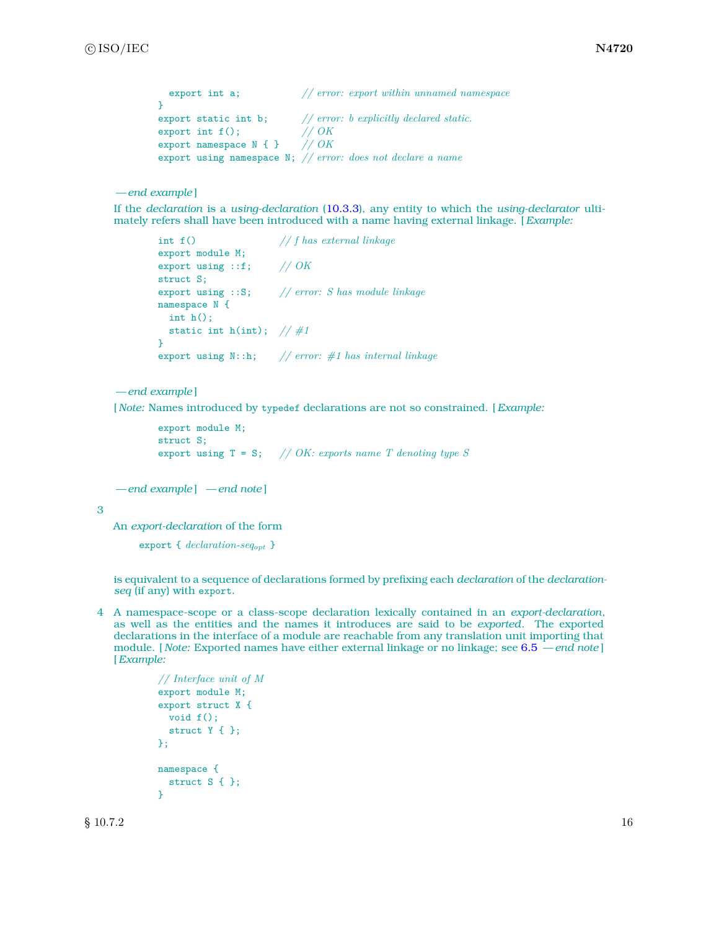```
export int a; // error: export within unnamed namespace
}
export static int b; // error: b explicitly declared static.
export int f(); <br> \frac{7}{8} // OK <br> export namespace N { } // OK
export namespace N { }
export using namespace N; // error: does not declare a name
```
If the *declaration* is a *using-declaration* [\(10.3.3\)](#page-15-2), any entity to which the *using-declarator* ultimately refers shall have been introduced with a name having external linkage. [*Example:*

```
int f() // f has external linkage
export module M;
export using ::f; // OK
struct S;
export using ::S; // error: S has module linkage
namespace N {
int h();
 static int h(int); // #1
}
export using N::h; // error: #1 has internal linkage
```
*— end example* ]

[ *Note:* Names introduced by typedef declarations are not so constrained. [*Example:*

```
export module M;
struct S;
export using T = S; // OK: exports name T denoting type S
```
*— end example* ] *— end note* ]

3

An *export-declaration* of the form

export { *declaration-seqopt* }

is equivalent to a sequence of declarations formed by prefixing each *declaration* of the *declarationseq* (if any) with export.

4 A namespace-scope or a class-scope declaration lexically contained in an *export-declaration*, as well as the entities and the names it introduces are said to be *exported*. The exported declarations in the interface of a module are reachable from any translation unit importing that module. [ *Note:* Exported names have either external linkage or no linkage; see [6.5](#page-12-0) *— end note* ] [*Example:*

```
// Interface unit of M
export module M;
export struct X {
  void f();
  struct Y { };
};
namespace {
 struct S { };
\mathbf{r}
```
 $\S 10.7.2$  16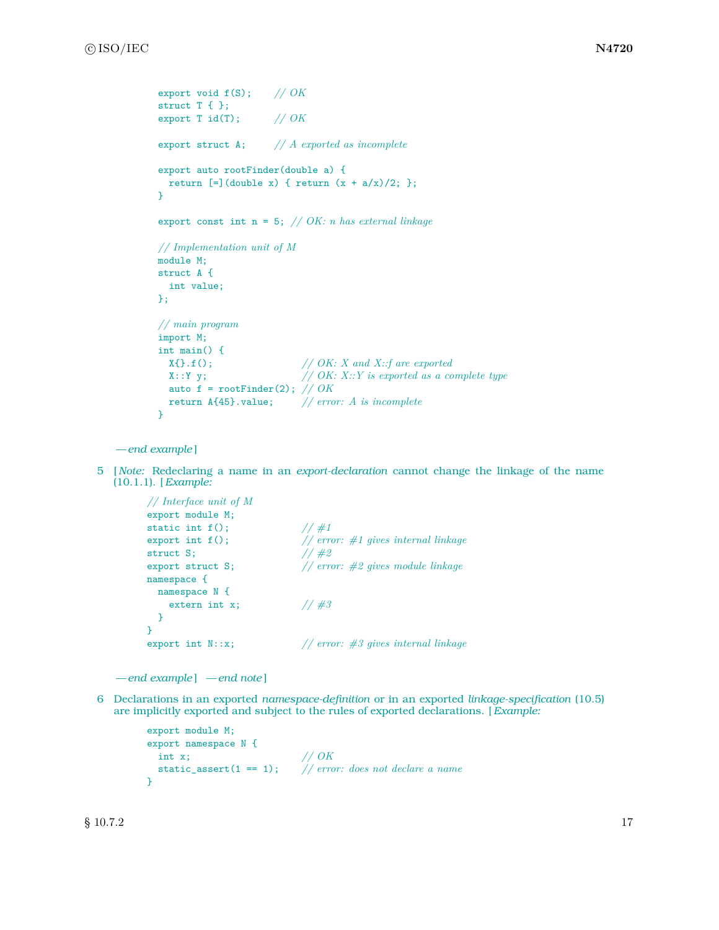```
export void f(S); // OK
struct T { }:
export T id(T); // OK
export struct A; // A exported as incomplete
export auto rootFinder(double a) {
 return [=](double x) { return (x + a/x)/2; };
}
export const int n = 5; // OK: n has external linkage
// Implementation unit of M
module M;
struct A {
 int value;
};
// main program
import M;
int main() {
 X\{\}.f(); // OK: X and X::f are exported
 X::Y y; // OK: X::Y is exported as a complete type
 auto f = rootFinder(2); // OK
 return A{45}.value; // error: A is incomplete
}
```
5 [ *Note:* Redeclaring a name in an *export-declaration* cannot change the linkage of the name (10.1.1). [*Example:*

```
// Interface unit of M
export module M;
static int f();
export int f();<br>export int f();<br>// error: #1 gives internal linkage
struct S; // #2
export struct S; // error: #2 gives module linkage
namespace {
 namespace N {
   extern int x; // #3
 }
}
export int N::x; // error: #3 gives internal linkage
```

```
— end example ] — end note ]
```
6 Declarations in an exported *namespace-definition* or in an exported *linkage-specification* (10.5) are implicitly exported and subject to the rules of exported declarations. [*Example:*

```
export module M;
export namespace N {
  int x; // OK
  static_assert(1 == 1); // error: does not declare a name
}
```
 $\S 10.7.2$  17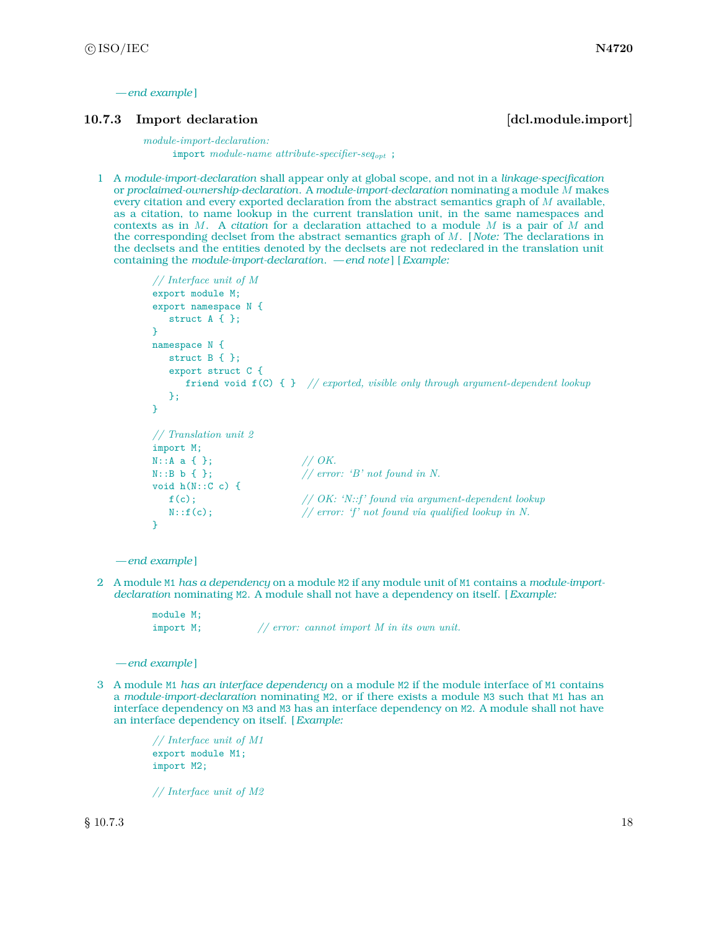#### <span id="page-19-0"></span>**10.7.3** Import declaration **and increase in the contract of the contract of the contract of declaration [dcl.module.import**]

*module-import-declaration:* import *module-name attribute-specifier-seqopt* ;

1 A *module-import-declaration* shall appear only at global scope, and not in a *linkage-specification* or *proclaimed-ownership-declaration*. A *module-import-declaration* nominating a module *M* makes every citation and every exported declaration from the abstract semantics graph of *M* available, as a citation, to name lookup in the current translation unit, in the same namespaces and contexts as in *M*. A *citation* for a declaration attached to a module *M* is a pair of *M* and the corresponding declset from the abstract semantics graph of *M*. [ *Note:* The declarations in the declsets and the entities denoted by the declsets are not redeclared in the translation unit containing the *module-import-declaration*. *— end note* ] [*Example:*

```
// Interface unit of M
export module M;
export namespace N {
   struct A { };
}
namespace N {
   struct B { };
   export struct C {
      friend void f(C) { } // exported, visible only through argument-dependent lookup
   };
}
// Translation unit 2
import M;
N::A a { };<br>N::B b { };
                           // OK.<br>// error: 'B' not found in N.
void h(N::C c) {
   f(c); // OK: 'N::f' found via argument-dependent lookup
   N::f(c); // error: 'f' not found via qualified lookup in N.
}
```
*— end example* ]

2 A module M1 *has a dependency* on a module M2 if any module unit of M1 contains a *module-importdeclaration* nominating M2. A module shall not have a dependency on itself. [*Example:*

```
module M;
import M; // error: cannot import M in its own unit.
```
*— end example* ]

3 A module M1 *has an interface dependency* on a module M2 if the module interface of M1 contains a *module-import-declaration* nominating M2, or if there exists a module M3 such that M1 has an interface dependency on M3 and M3 has an interface dependency on M2. A module shall not have an interface dependency on itself. [*Example:*

> *// Interface unit of M1* export module M1; import M2;

> *// Interface unit of M2*

 $\S 10.7.3$  18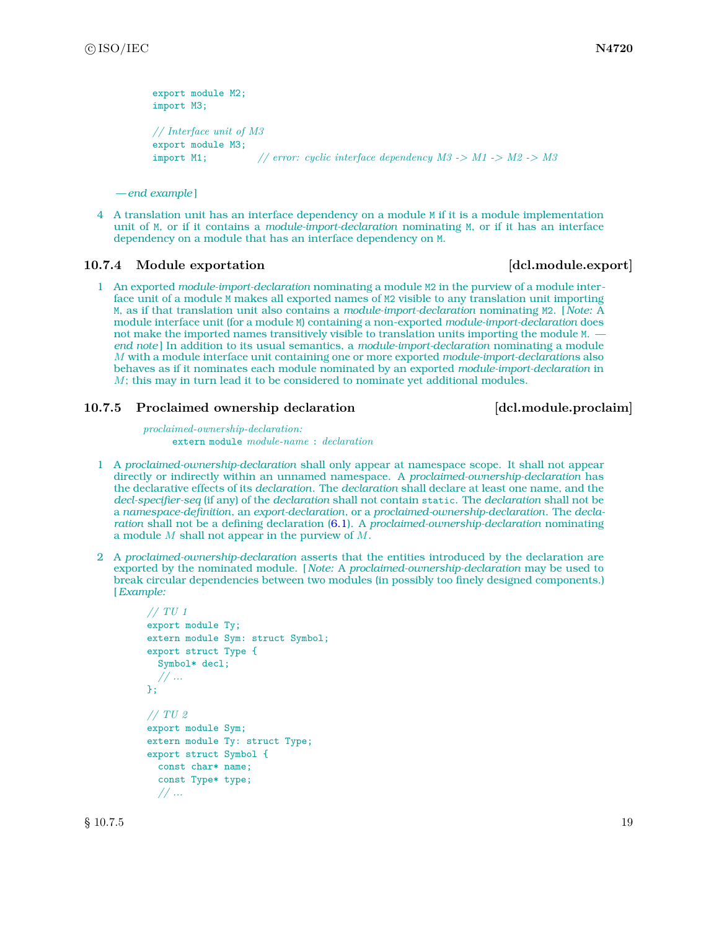```
export module M2;
import M3;
// Interface unit of M3
export module M3;
import M1; // error: cyclic interface dependency M3 -> M1 -> M2 -> M3
```
4 A translation unit has an interface dependency on a module M if it is a module implementation unit of M, or if it contains a *module-import-declaration* nominating M, or if it has an interface dependency on a module that has an interface dependency on M.

#### **10.7.4** Module exportation **and in the set of the set of the set of the set of the set of the set of the set of the set of the set of the set of the set of the set of the set of the set of the set of the set of the set of**

1 An exported *module-import-declaration* nominating a module M2 in the purview of a module interface unit of a module M makes all exported names of M2 visible to any translation unit importing M, as if that translation unit also contains a *module-import-declaration* nominating M2. [ *Note:* A module interface unit (for a module M) containing a non-exported *module-import-declaration* does not make the imported names transitively visible to translation units importing the module M.  *end note* ] In addition to its usual semantics, a *module-import-declaration* nominating a module *M* with a module interface unit containing one or more exported *module-import-declaration*s also behaves as if it nominates each module nominated by an exported *module-import-declaration* in *M*; this may in turn lead it to be considered to nominate yet additional modules.

#### **10.7.5 Proclaimed ownership declaration [dcl.module.proclaim]**

*proclaimed-ownership-declaration:* extern module *module-name* : *declaration*

- 1 A *proclaimed-ownership-declaration* shall only appear at namespace scope. It shall not appear directly or indirectly within an unnamed namespace. A *proclaimed-ownership-declaration* has the declarative effects of its *declaration*. The *declaration* shall declare at least one name, and the *decl-specifier-seq* (if any) of the *declaration* shall not contain static. The *declaration* shall not be a *namespace-definition*, an *export-declaration*, or a *proclaimed-ownership-declaration*. The *declaration* shall not be a defining declaration [\(6.1\)](#page-9-1). A *proclaimed-ownership-declaration* nominating a module *M* shall not appear in the purview of *M*.
- 2 A *proclaimed-ownership-declaration* asserts that the entities introduced by the declaration are exported by the nominated module. [ *Note:* A *proclaimed-ownership-declaration* may be used to break circular dependencies between two modules (in possibly too finely designed components.) [*Example:*

```
// TU 1
export module Ty;
extern module Sym: struct Symbol;
export struct Type {
  Symbol* decl;
  // ...
};
// TU 2
export module Sym;
extern module Ty: struct Type;
export struct Symbol {
 const char* name;
  const Type* type;
  // ...
```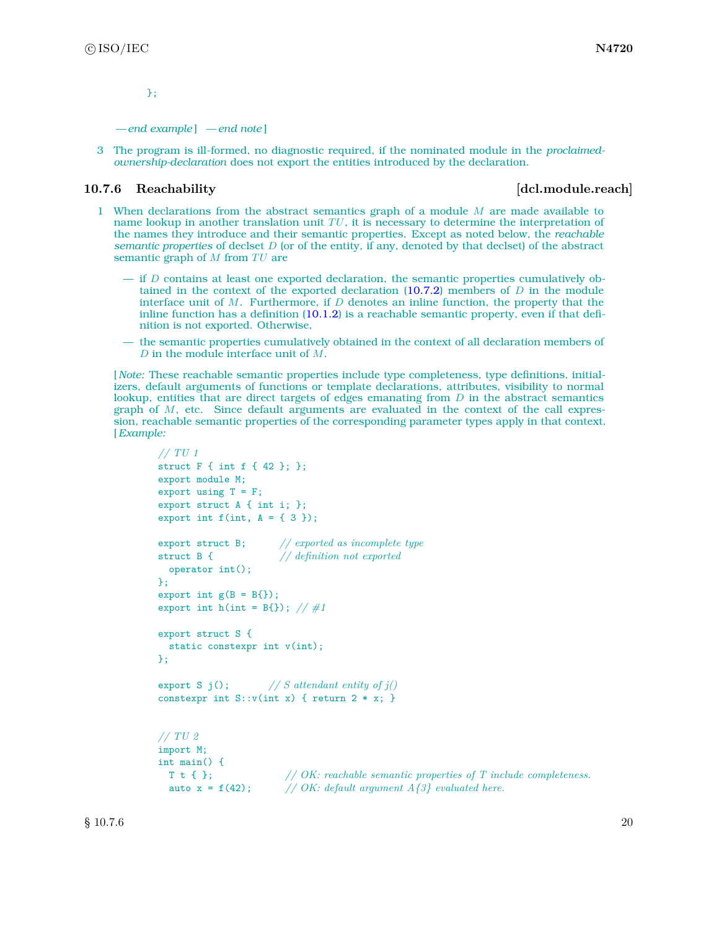};

#### *— end example* ] *— end note* ]

3 The program is ill-formed, no diagnostic required, if the nominated module in the *proclaimedownership-declaration* does not export the entities introduced by the declaration.

#### <span id="page-21-0"></span>**10.7.6 Reachability example. 10.7.6 Reachability example. 10.7.6 Reachability**

- 1 When declarations from the abstract semantics graph of a module *M* are made available to name lookup in another translation unit *TU*, it is necessary to determine the interpretation of the names they introduce and their semantic properties. Except as noted below, the *reachable semantic properties* of declset *D* (or of the entity, if any, denoted by that declset) of the abstract semantic graph of *M* from *TU* are
	- if *D* contains at least one exported declaration, the semantic properties cumulatively obtained in the context of the exported declaration [\(10.7.2\)](#page-16-0) members of *D* in the module interface unit of *M*. Furthermore, if *D* denotes an inline function, the property that the inline function has a definition [\(10.1.2\)](#page-14-3) is a reachable semantic property, even if that definition is not exported. Otherwise,
	- the semantic properties cumulatively obtained in the context of all declaration members of *D* in the module interface unit of *M*.

[ *Note:* These reachable semantic properties include type completeness, type definitions, initializers, default arguments of functions or template declarations, attributes, visibility to normal lookup, entities that are direct targets of edges emanating from *D* in the abstract semantics graph of *M*, etc. Since default arguments are evaluated in the context of the call expression, reachable semantic properties of the corresponding parameter types apply in that context. [*Example:*

```
// TU 1
struct F { int f { 42 }; };
export module M;
export using T = F;
export struct A { int i; };
export int f(int, A = { 3 });export struct B; // exported as incomplete type
struct B { // definition not exported
  operator int();
};
export int g(B = B\});
export int h(int = B{}); // #1export struct S {
  static constexpr int v(int);
};
export S j(); // S attendant entity of j()
constexpr int S::v(int x) { return 2 * x; }
// TU 2
import M;
int main() {
  T t { }; // OK: reachable semantic properties of T include completeness.
  T t { \rightarrow }; <br>auto x = f(42); // OK: default argument A\hat{\{3\}} evaluated here.
```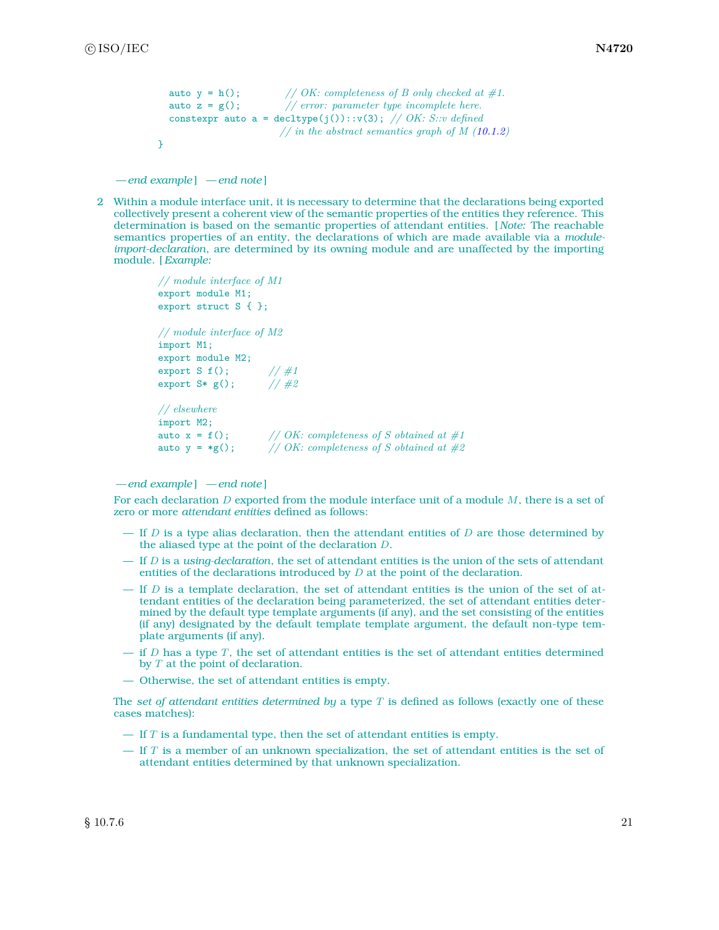```
auto y = h(); // OK: completeness of B only checked at #1.
 auto z = g(); // error: parameter type incomplete here.
 constexpr auto a = decltype(j())::v(3); // OK: S::v defined
                     // in the abstract semantics graph of M (10.1.2)
}
```
*— end example* ] *— end note* ]

2 Within a module interface unit, it is necessary to determine that the declarations being exported collectively present a coherent view of the semantic properties of the entities they reference. This determination is based on the semantic properties of attendant entities. [ *Note:* The reachable semantics properties of an entity, the declarations of which are made available via a *moduleimport-declaration*, are determined by its owning module and are unaffected by the importing module. [*Example:*

```
// module interface of M1
export module M1;
export struct S { };
// module interface of M2
import M1;
export module M2;
export S f(); // #1<br>export S* g(); // #2export S* g();
// elsewhere
import M2;
auto x = f(); // OK: completeness of S obtained at #1
auto y = *g(); // OK: completeness of S obtained at #2
```
*— end example* ] *— end note* ]

For each declaration *D* exported from the module interface unit of a module *M*, there is a set of zero or more *attendant entities* defined as follows:

- If *D* is a type alias declaration, then the attendant entities of *D* are those determined by the aliased type at the point of the declaration *D*.
- If *D* is a *using-declaration*, the set of attendant entities is the union of the sets of attendant entities of the declarations introduced by *D* at the point of the declaration.
- If *D* is a template declaration, the set of attendant entities is the union of the set of attendant entities of the declaration being parameterized, the set of attendant entities determined by the default type template arguments (if any), and the set consisting of the entities (if any) designated by the default template template argument, the default non-type template arguments (if any).
- if *D* has a type *T*, the set of attendant entities is the set of attendant entities determined by *T* at the point of declaration.
- Otherwise, the set of attendant entities is empty.

The *set of attendant entities determined by* a type *T* is defined as follows (exactly one of these cases matches):

- $-$  If  $T$  is a fundamental type, then the set of attendant entities is empty.
- If *T* is a member of an unknown specialization, the set of attendant entities is the set of attendant entities determined by that unknown specialization.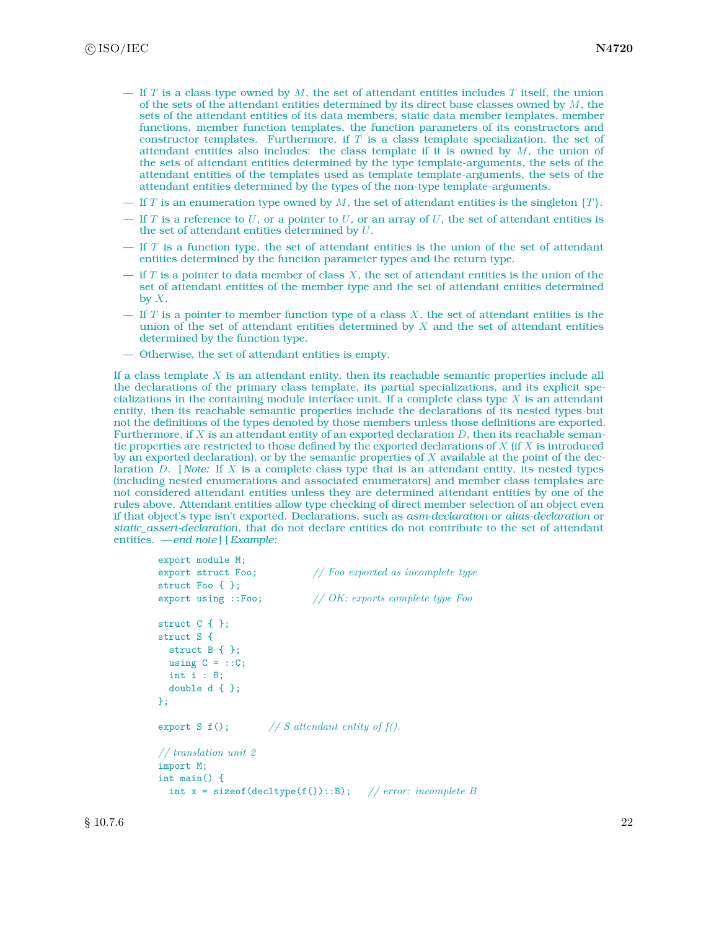- If *T* is a class type owned by *M*, the set of attendant entities includes *T* itself, the union of the sets of the attendant entities determined by its direct base classes owned by *M*, the sets of the attendant entities of its data members, static data member templates, member functions, member function templates, the function parameters of its constructors and constructor templates. Furthermore, if *T* is a class template specialization, the set of attendant entities also includes: the class template if it is owned by *M*, the union of the sets of attendant entities determined by the type template-arguments, the sets of the attendant entities of the templates used as template template-arguments, the sets of the attendant entities determined by the types of the non-type template-arguments.
- If *T* is an enumeration type owned by *M*, the set of attendant entities is the singleton  $\{T\}$ .
- If *T* is a reference to *U*, or a pointer to *U*, or an array of *U*, the set of attendant entities is the set of attendant entities determined by *U*.
- If *T* is a function type, the set of attendant entities is the union of the set of attendant entities determined by the function parameter types and the return type.
- if *T* is a pointer to data member of class *X*, the set of attendant entities is the union of the set of attendant entities of the member type and the set of attendant entities determined by *X*.
- If *T* is a pointer to member function type of a class *X*, the set of attendant entities is the union of the set of attendant entities determined by *X* and the set of attendant entities determined by the function type.
- Otherwise, the set of attendant entities is empty.

If a class template *X* is an attendant entity, then its reachable semantic properties include all the declarations of the primary class template, its partial specializations, and its explicit specializations in the containing module interface unit. If a complete class type *X* is an attendant entity, then its reachable semantic properties include the declarations of its nested types but not the definitions of the types denoted by those members unless those definitions are exported. Furthermore, if  $X$  is an attendant entity of an exported declaration  $D$ , then its reachable semantic properties are restricted to those defined by the exported declarations of *X* (if *X* is introduced by an exported declaration), or by the semantic properties of *X* available at the point of the declaration *D*. [ *Note:* If *X* is a complete class type that is an attendant entity, its nested types (including nested enumerations and associated enumerators) and member class templates are not considered attendant entities unless they are determined attendant entities by one of the rules above. Attendant entities allow type checking of direct member selection of an object even if that object's type isn't exported. Declarations, such as *asm-declaration* or *alias-declaration* or *static\_assert-declaration*, that do not declare entities do not contribute to the set of attendant entities. *— end note* ] [*Example:*

```
export module M;
export struct Foo; // Foo exported as incomplete type
struct Foo { };
export using ::Foo; // OK: exports complete type Foo
struct C { };
struct S {
 struct B { };
 using C = ::C;int i : 8;
 double d { };
};
export S f(); // S attendant entity of f().
// translation unit 2
import M;
int main() {
 int x = sizeof(decltype(f())::B); // error: incomplete B
```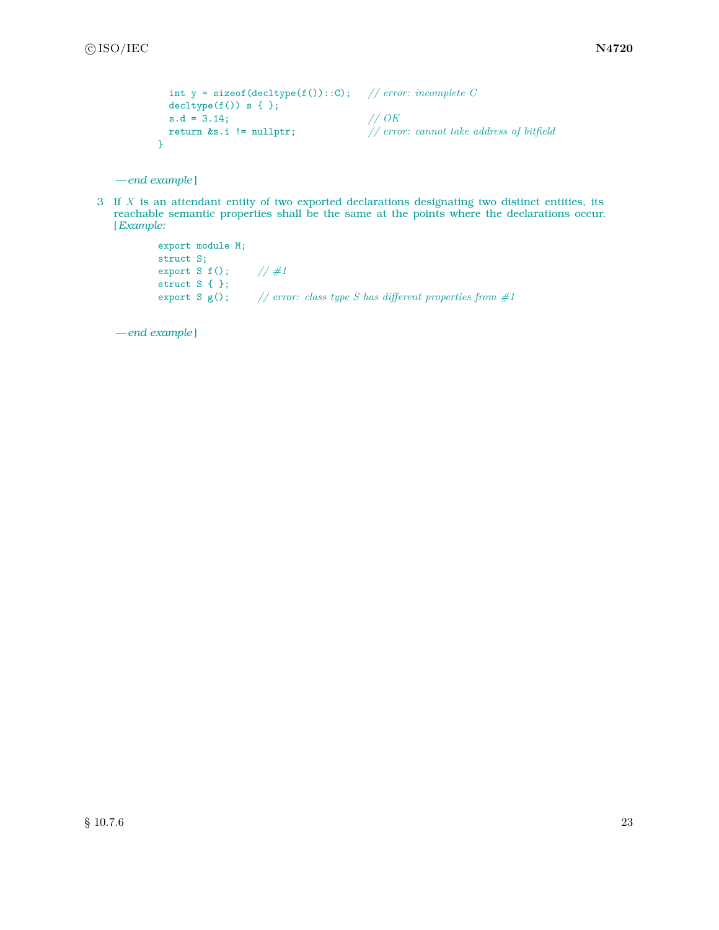```
int y = sizeof(decltype(f())::C); // error: incomplete C
    \text{decltype}(f()) s { };
    s.d = 3.14;<br>
return &s.i != nullptr;
                                                                                          \frac{{\rm{}}{\rm{}}}{\rm{}}/ {\rm{}}{\rm{}}\;{\rm{error:}}\;\;{\rm{c}}\;{\rm{a}}{\rm{m}}{\rm{ot}}\;{\rm{}}{\rm{t}}{\rm{a}}{\rm{d}}{\rm{d}}{\rm{r}}{\rm{e}}{\rm{s}}{\rm{s}}\;{\rm{of}}\;{\rm{b}}{\rm{iffield}}}
```
3 If *X* is an attendant entity of two exported declarations designating two distinct entities, its reachable semantic properties shall be the same at the points where the declarations occur. [*Example:*

```
export module M;
struct S;
export S f(); // #1
struct S { };
export S g(); // error: class type S has different properties from #1
```
*— end example* ]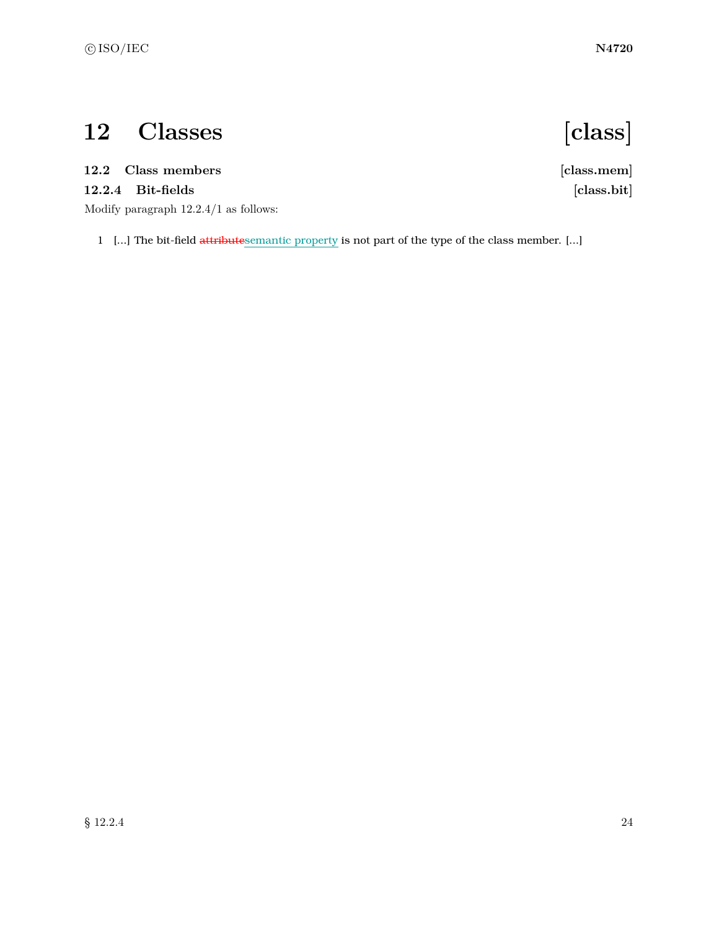# <span id="page-25-0"></span>**12 Classes [class]**

### <span id="page-25-1"></span>**12.2 Class members [class.mem]**

### **12.2.4 Bit-fields [class.bit]**

Modify paragraph 12.2.4/1 as follows:

1 [...] The bit-field attributesemantic property is not part of the type of the class member. [...]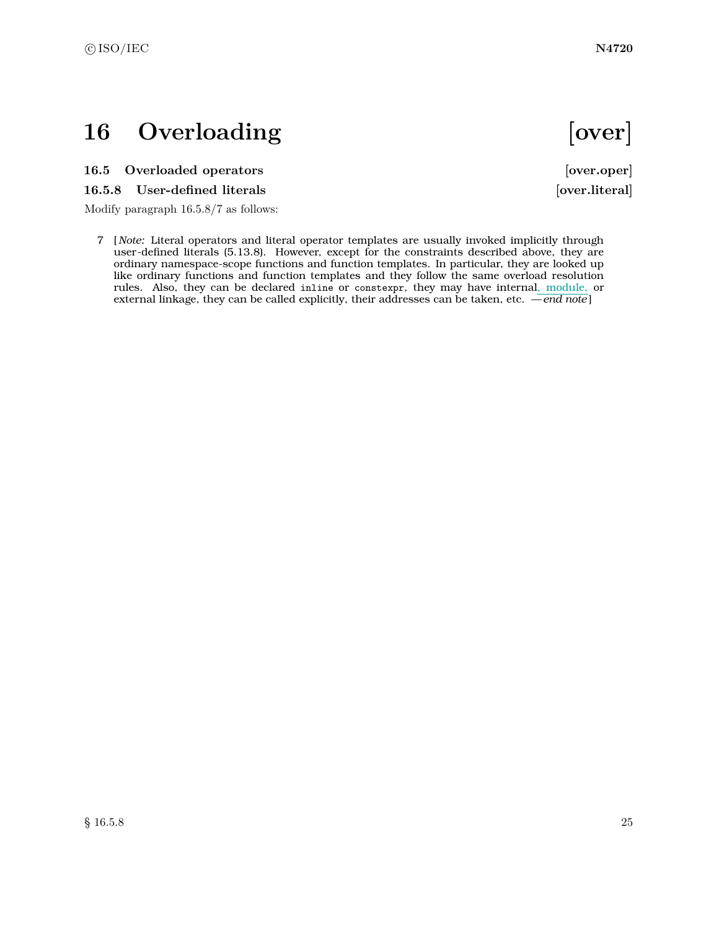## <span id="page-26-0"></span>16 Overloading **[over]**

### <span id="page-26-1"></span>**16.5 Overloaded operators [over.oper]**

### 16.5.8 User-defined literals **[over.literal]**

Modify paragraph 16.5.8/7 as follows:

7 [ *Note:* Literal operators and literal operator templates are usually invoked implicitly through user-defined literals (5.13.8). However, except for the constraints described above, they are ordinary namespace-scope functions and function templates. In particular, they are looked up like ordinary functions and function templates and they follow the same overload resolution rules. Also, they can be declared inline or constexpr, they may have internal, module, or external linkage, they can be called explicitly, their addresses can be taken, etc. *— end note* ]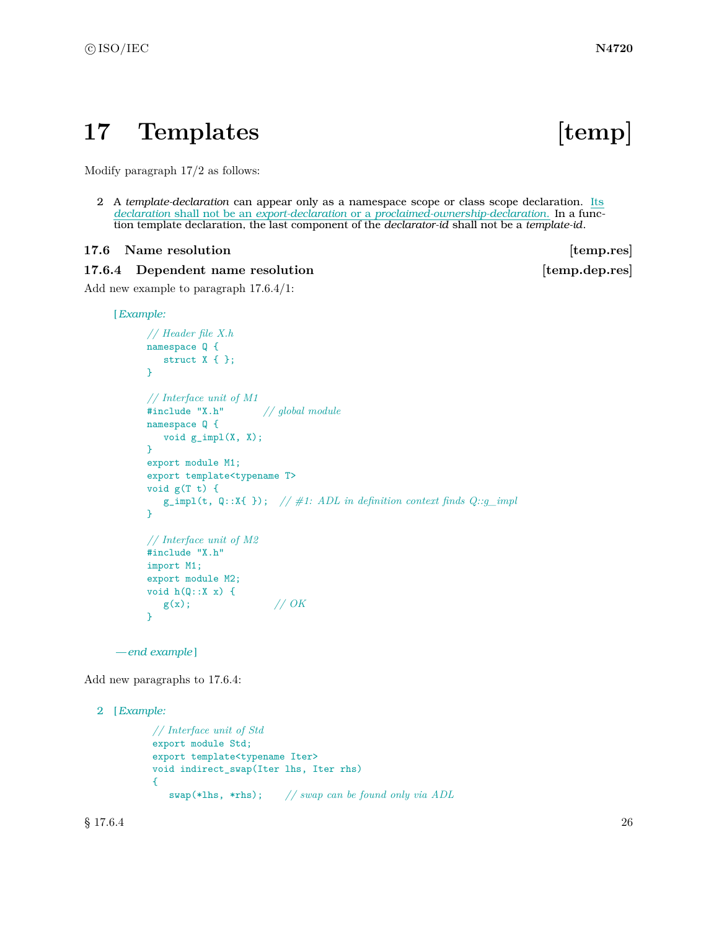## <span id="page-27-0"></span>17 Templates [temp]

Modify paragraph 17/2 as follows:

2 A *template-declaration* can appear only as a namespace scope or class scope declaration. Its *declaration* shall not be an *export-declaration* or a *proclaimed-ownership-declaration*. In a function template declaration, the last component of the *declarator-id* shall not be a *template-id*.

#### <span id="page-27-1"></span>**17.6** Name resolution **in the set of temp.res**

#### **17.6.4** Dependent name resolution **and the set of temp.dep.res**

Add new example to paragraph 17.6.4/1:

[*Example:*

```
// Header file X.h
namespace Q {
  struct X { };
}
// Interface unit of M1
#include "X.h" // global module
namespace Q {
  void g_impl(X, X);
}
export module M1;
export template<typename T>
void g(T t) {
   g_iimpl(t, Q::X{ }); // \#1: ADL in definition context finds Q::g_i impl
}
// Interface unit of M2
#include "X.h"
import M1;
export module M2;
void h(Q::X x) {
   g(x); // OK
}
```
*— end example* ]

Add new paragraphs to 17.6.4:

```
2 [Example:
```

```
// Interface unit of Std
export module Std;
export template<typename Iter>
void indirect_swap(Iter lhs, Iter rhs)
{
   swap(*lhs, *rhs); // swap can be found only via ADL
```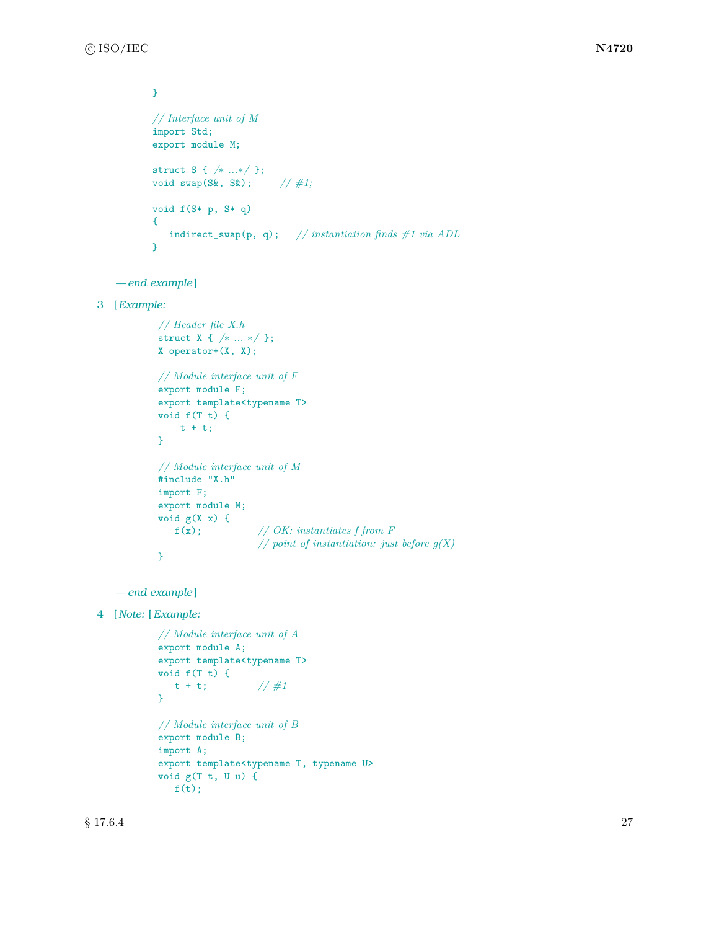```
}
// Interface unit of M
import Std;
export module M;
struct S { /∗ ...∗/ };
void swap(S&, S&); // #1;
void f(S* p, S* q)
{
   indirect_swap(p, q); // instantiation finds #1 via ADL
}
```

```
— end example ]
```

```
3 [Example:
```

```
// Header file X.h
struct X { /∗ ... ∗/ };
X operator+(X, X);
// Module interface unit of F
export module F;
export template<typename T>
void f(T t) {
    t + t;
}
// Module interface unit of M
#include "X.h"
import F;
export module M;
void g(X x) ff(x); // OK: instantiates f from F
                   // point of instantiation: just before g(X)
}
```

```
— end example ]
```
4 [ *Note:* [*Example:*

```
// Module interface unit of A
export module A;
export template<typename T>
void f(T t) {
   t + t; //#1
}
// Module interface unit of B
export module B;
import A;
export template<typename T, typename U>
void g(T t, U u) {
  f(t);
```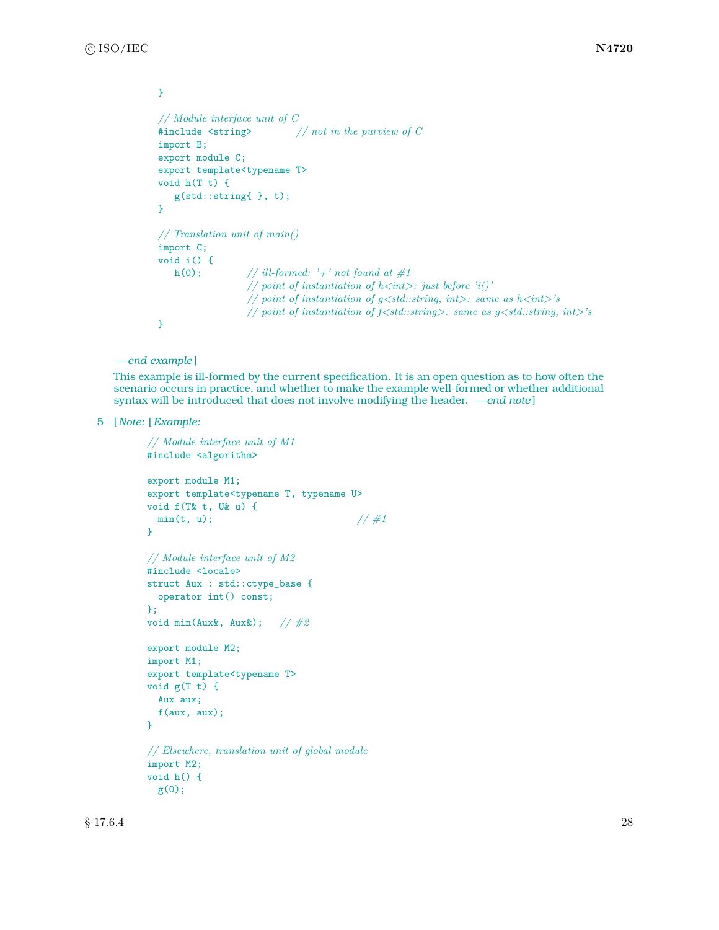```
}
// Module interface unit of C
#include <string> // not in the purview of C
import B;
export module C;
export template<typename T>
void h(T t) {
   g(std::string{ }, t);
}
// Translation unit of main()
import C;
void i() {
  h(0); // ill-formed: '+' not found at #1
                 // point of instantiation of h<int>: just before 'i()'
                 // point of instantiation of g<std::string, int>: same as h<int>'s
                 // point of instantiation of f<std::string>: same as g<std::string, int>'s
}
```

```
— end example ]
```
This example is ill-formed by the current specification. It is an open question as to how often the scenario occurs in practice, and whether to make the example well-formed or whether additional syntax will be introduced that does not involve modifying the header. *— end note* ]

5 [ *Note:* [*Example:*

```
// Module interface unit of M1
#include <algorithm>
export module M1;
export template<typename T, typename U>
void f(T& t, U& u) {
 min(t, u); \frac{1}{4}}
// Module interface unit of M2
#include <locale>
struct Aux : std::ctype_base {
  operator int() const;
};
void min(Aux&, Aux&); // #2
export module M2;
import M1;
export template<typename T>
void g(T t) {
  Aux aux;
  f(aux, aux);
}
// Elsewhere, translation unit of global module
import M2;
void h() {
 g(0);
```